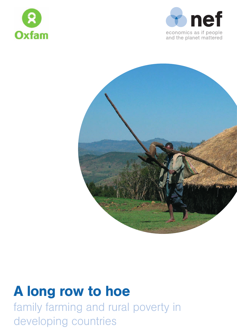





# A long row to hoe

family farming and rural poverty in developing countries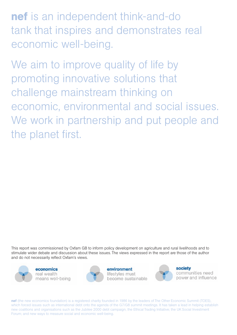nef is an independent think-and-do tank that inspires and demonstrates real economic well-being.

We aim to improve quality of life by promoting innovative solutions that challenge mainstream thinking on economic, environmental and social issues. We work in partnership and put people and the planet first.

This report was commissioned by Oxfam GB to inform policy development on agriculture and rural livelihoods and to stimulate wider debate and discussion about these issues. The views expressed in the report are those of the author and do not necessarily reflect Oxfam's views.



economics real wealth means well-being



environment lifestyles must become sustainable



**society** communities need power and influence

nef (the new economics foundation) is a registered charity founded in 1986 by the leaders of The Other Economic Summit (TOES), which forced issues such as international debt onto the agenda of the G7/G8 summit meetings. It has taken a lead in helping establish new coalitions and organisations such as the Jubilee 2000 debt campaign; the Ethical Trading Initiative; the UK Social Investment Forum; and new ways to measure social and economic well-being.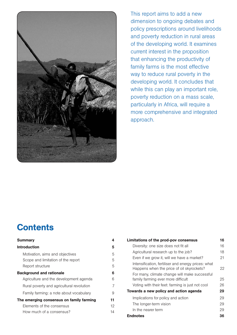

This report aims to add a new dimension to ongoing debates and policy prescriptions around livelihoods and poverty reduction in rural areas of the developing world. It examines current interest in the proposition that enhancing the productivity of family farms is the most effective way to reduce rural poverty in the developing world. It concludes that while this can play an important role, poverty reduction on a mass scale, particularly in Africa, will require a more comprehensive and integrated approach.

### **Contents**

| <b>Summary</b>                                                                      | 4       |
|-------------------------------------------------------------------------------------|---------|
| <b>Introduction</b>                                                                 | 5       |
| Motivation, aims and objectives<br>Scope and limitation of the report               | 5<br>5  |
| Report structure<br><b>Background and rationale</b>                                 | 5<br>6  |
| Agriculture and the development agenda<br>Rural poverty and agricultural revolution | 6<br>7  |
| Family farming: a note about vocabulary                                             | 9<br>11 |
| The emerging consensus on family farming<br>Elements of the consensus               | 12      |
| How much of a consensus?                                                            | 14      |

| Limitations of the prod-pov consensus                                                            | 16 |
|--------------------------------------------------------------------------------------------------|----|
| Diversity: one size does not fit all                                                             | 16 |
| Agricultural research up to the job?                                                             | 18 |
| Even if we grow it, will we have a market?                                                       | 21 |
| Intensification, fertiliser and energy prices: what<br>Happens when the price of oil skyrockets? | 22 |
| For many, climate change will make successful<br>family farming ever more difficult              | 25 |
| Voting with their feet: farming is just not cool                                                 | 26 |
| Towards a new policy and action agenda                                                           | 29 |
| Implications for policy and action                                                               | 29 |
| The longer-term vision                                                                           | 29 |
| In the nearer term                                                                               | 29 |
| <b>Endnotes</b>                                                                                  | 36 |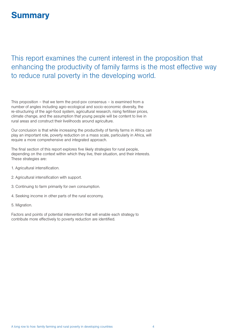## **Summary**

### This report examines the current interest in the proposition that enhancing the productivity of family farms is the most effective way to reduce rural poverty in the developing world.

This proposition – that we term the prod-pov consensus – is examined from a number of angles including agro-ecological and socio-economic diversity, the re-structuring of the agri-food system, agricultural research, rising fertiliser prices, climate change, and the assumption that young people will be content to live in rural areas and construct their livelihoods around agriculture.

Our conclusion is that while increasing the productivity of family farms in Africa can play an important role, poverty reduction on a mass scale, particularly in Africa, will require a more comprehensive and integrated approach.

The final section of this report explores five likely strategies for rural people, depending on the context within which they live, their situation, and their interests. These strategies are:

- 1. Agricultural intensification.
- 2. Agricultural intensification with support.
- 3. Continuing to farm primarily for own consumption.
- 4. Seeking income in other parts of the rural economy.
- 5. Migration.

Factors and points of potential intervention that will enable each strategy to contribute more effectively to poverty reduction are identified.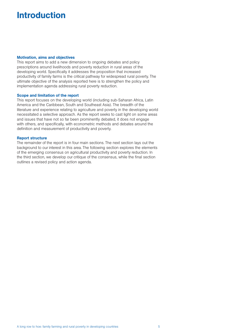# Introduction

#### Motivation, aims and objectives

This report aims to add a new dimension to ongoing debates and policy prescriptions around livelihoods and poverty reduction in rural areas of the developing world. Specifically it addresses the proposition that increased productivity of family farms is the critical pathway for widespread rural poverty. The ultimate objective of the analysis reported here is to strengthen the policy and implementation agenda addressing rural poverty reduction.

#### Scope and limitation of the report

This report focuses on the developing world (including sub-Saharan Africa, Latin America and the Caribbean, South and Southeast Asia). The breadth of the literature and experience relating to agriculture and poverty in the developing world necessitated a selective approach. As the report seeks to cast light on some areas and issues that have not so far been prominently debated, it does not engage with others, and specifically, with econometric methods and debates around the definition and measurement of productivity and poverty.

#### Report structure

The remainder of the report is in four main sections. The next section lays out the background to our interest in this area. The following section explores the elements of the emerging consensus on agricultural productivity and poverty reduction. In the third section, we develop our critique of the consensus, while the final section outlines a revised policy and action agenda.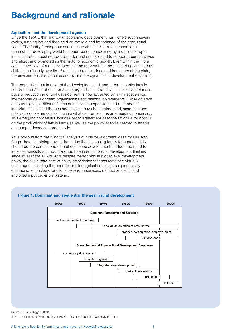## Background and rationale

#### Agriculture and the development agenda

Since the 1950s, thinking about economic development has gone through several cycles, running hot and then cold on the role and importance of the agricultural sector. The family farming that continues to characterise rural economies in much of the developing world has been variously sidelined by a desire for rapid industrialisation; pushed toward modernisation; exploited to support urban initiatives and elites; and promoted as the motor of economic growth. Even within the more constrained field of rural development, the approach to and place of agriculture has shifted significantly over time,<sup>1</sup> reflecting broader ideas and trends about the state, the environment, the global economy and the dynamics of development (Figure 1).

The proposition that in most of the developing world, and perhaps particularly in sub-Saharan Africa (hereafter Africa), agriculture is the only realistic driver for mass poverty reduction and rural development is now accepted by many academics, international development organisations and national governments.<sup>2</sup> While different analysts highlight different facets of this basic proposition, and a number of important associated themes and caveats have been introduced, academic and policy discourse are coalescing into what can be seen as an emerging consensus. This emerging consensus includes broad agreement as to the rationale for a focus on the productivity of family farms as well as the policy agenda needed to enable and support increased productivity.

As is obvious from the historical analysis of rural development ideas by Ellis and Biggs, there is nothing new in the notion that increasing family farm productivity should be the cornerstone of rural economic development.<sup>3</sup> Indeed the need to increase agricultural productivity has been central to rural development thinking since at least the 1960s. And, despite many shifts in higher level development policy, there is a hard core of policy prescription that has remained virtually unchanged, including the need for applied agricultural research, productivityenhancing technology, functional extension services, production credit, and improved input provision systems.



#### Figure 1. Dominant and sequential themes in rural development

Source: Ellis & Biggs (2001).

1. SL – sustainable livelihoods; 2. PRSPs – Poverty Reduction Strategy Papers.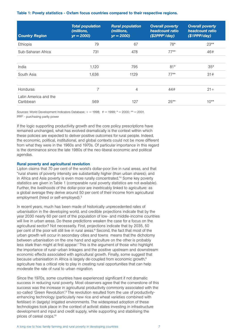#### Table 1: Povety statistics - Oxfam focus countries compared to their respective regions.

| <b>Country Region</b>              | <b>Total population</b><br>(millions,<br>$yr = 2000$ | <b>Rural population</b><br>(millions,<br>$yr = 2000$ | <b>Overall poverty</b><br>headcount ratio<br>(\$2PPP <sup>1</sup> /day) | <b>Overall poverty</b><br>headcount ratio<br>(\$1PPP/day) |
|------------------------------------|------------------------------------------------------|------------------------------------------------------|-------------------------------------------------------------------------|-----------------------------------------------------------|
| Ethiopia                           | 79                                                   | 67                                                   | 78*                                                                     | $23**$                                                    |
| Sub-Saharan Africa                 | 731                                                  | 478                                                  | $77***$                                                                 | 46#                                                       |
| India                              | 1,120                                                | 795                                                  | $81*$                                                                   | $35*$                                                     |
| South Asia                         | 1,636                                                | 1129                                                 | $77***$                                                                 | 31#                                                       |
| Honduras                           | 7                                                    | 4                                                    | 44#                                                                     | $21+$                                                     |
| Latin America and the<br>Caribbean | 569                                                  | 127                                                  | $25**$                                                                  | $10**$                                                    |

Sources: World Development Indicators Database:  $+= 1998$ ;  $*= 1999$ ;  $*= 2000$ ;  $** = 2001$ . PPP1 - purchasing parity power

If the logic supporting productivity growth and the core policy prescriptions have remained unchanged, what has evolved dramatically is the context within which these policies are expected to deliver positive outcomes for rural people. Indeed, the economic, political, institutional, and global contexts could not be more different from what they were in the 1960s and 1970s. Of particular importance in this regard is the dominance since the late 1980s of the neo-liberal economic and political agendas.

#### Rural poverty and agricultural revolution

Lipton claims that 70 per cent of the world's dollar-poor live in rural areas, and that "rural shares of poverty intensity are substantially higher (than urban shares); and in Africa and Asia poverty is even more rurally concentrated."4 Some key poverty statistics are given in Table 1 (comparable rural poverty statistics are not available). Further, the livelihoods of the dollar-poor are inextricably linked to agriculture: as a global average they derive around 50 per cent of their income from agricultural employment (hired or self-employed).<sup>5</sup>

In recent years, much has been made of historically unprecedented rates of urbanisation in the developing world, and credible projections indicate that by the year 2030 nearly 60 per cent of the population of low- and middle-income countries will live in urban areas. Do these predictions weaken the case for a focus on the agricultural sector? Not necessarily. First, projections indicate that by 2035, 50 per cent of the poor will still live in rural areas.<sup>6</sup> Second, the fact that most of the urban growth will occur in secondary cities and towns means that the dichotomy between urbanisation on the one hand and agriculture on the other is probably less stark than might at first appear.<sup>7</sup> This is the argument of those who highlight the importance of rural–urban linkages and the positive upstream and downstream economic effects associated with agricultural growth. Finally, some suggest that because urbanisation in Africa is largely de-coupled from economic growth,<sup>8</sup> agriculture has a critical role to play in creating rural opportunities that can help moderate the rate of rural to urban migration.

Since the 1970s, some countries have experienced significant if not dramatic success in reducing rural poverty. Most observers agree that the cornerstone of this success was the increase in agricultural productivity commonly associated with the so-called 'Green Revolution'.<sup>9</sup> The revolution resulted from the use of productivityenhancing technology (particularly new rice and wheat varieties combined with fertiliser) in (largely) irrigated environments. The widespread adoption of these technologies took place in the context of activist states investing in infrastructure development and input and credit supply, while supporting and stabilising the prices of cereal crops.10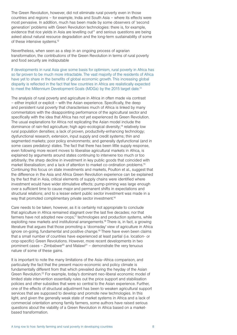The Green Revolution, however, did not eliminate rural poverty even in those countries and regions – for example, India and South Asia – where its effects were most pervasive. In addition, much has been made by some observers of 'second generation' problems with Green Revolution technologies: there is, for example, evidence that rice yields in Asia are levelling out<sup>11</sup> and serious questions are being asked about natural resource degradation and the long-term sustainability of some of these intensive systems.<sup>12</sup>

Nevertheless, when seen as a step in an ongoing process of agrarian transformation, the contributions of the Green Revolution in terms of rural poverty and food security are indisputable

If developments in rural Asia give some basis for optimism, rural poverty in Africa has so far proven to be much more intractable. The vast majority of the residents of Africa have yet to share in the benefits of global economic growth. This increasing global disparity is reflected in the fact that few countries in Africa are realistically expected to meet the Millennium Development Goals (MDGs) by the 2015 target date.<sup>13</sup>

The analysis of rural poverty and agriculture in Africa in often made via contrast – either implicit or explicit – with the Asian experience. Specifically, the deep and persistent rural poverty that characterises much of Africa is linked by many commentators with the disappointing performance of the agricultural sector and specifically with the idea that Africa has not yet experienced its Green Revolution. The usual explanations for Africa not replicating the Asian model include the dominance of rain-fed agriculture; high agro-ecological diversity;14 relatively low rural population densities; a lack of proven, productivity-enhancing technology; dysfunctional research, extension, input supply and credit systems; thin and segmented markets; poor policy environments; and generally dysfunctional (and in some cases predatory) states. The fact that there has been little supply response, even following more recent moves to liberalise agricultural markets in Africa, is explained by arguments around states continuing to intervene too much or too arbitrarily; the sharp decline in investment in key public goods that coincided with market liberalisation; and a lack of attention to market co-ordination problems.<sup>15</sup> Continuing this focus on state investments and markets, Poulton et al., suggest that the difference in the Asia and Africa Green Revolution experience can be explained by the fact that in Asia, critical elements of supply chains were identified where investment would have wider stimulative effects; pump-priming was large enough over a sufficient time to cause major and permanent shifts in expectations and structural relations; and to a lesser extent public sector investment was made in a way that promoted complimentary private sector investment.<sup>16</sup>

Care needs to be taken, however, as it is certainly not appropriate to conclude that agriculture in Africa remained stagnant over the last five decades; nor that farmers have not adopted new crops, $17$  technologies and production systems, while exploiting new markets and institutional arrangements.<sup>18</sup> There is, in fact, a growing literature that argues that those promoting a 'doomsday' view of agriculture in Africa ignore on-going, fundamental and positive change.<sup>19</sup> There have even been claims that a small number of countries have experienced at least partial (i.e. location- or crop-specific) Green Revolutions. However, more recent developments in two prominent cases – Zimbabwe<sup>20</sup> and Malawi<sup>21</sup> – demonstrate the very tenuous nature of some of these gains.

It is important to note the many limitations of the Asia–Africa comparison, and particularly the fact that the present macro-economic and policy climate is fundamentally different from that which prevailed during the heyday of the Asian Green Revolution.22 For example, today's dominant neo-liberal economic model of limited state intervention essentially rules out the price support and stabilisation policies and other subsidies that were so central to the Asian experience. Further, one of the effects of structural adjustment has been to weaken agricultural support services that are supposed to develop and promote new technologies. In this light, and given the generally weak state of market systems in Africa and a lack of commercial orientation among family farmers, some authors have raised serious questions about the viability of a Green Revolution in Africa based on a marketbased transformation.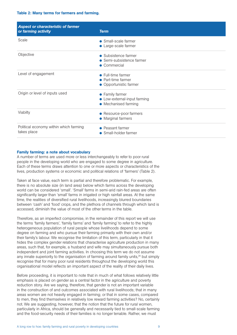#### Table 2: Many terms for farmers and farming.

| Aspect or characteristic of farmer<br>or farming activity | <b>Term</b>                                                             |
|-----------------------------------------------------------|-------------------------------------------------------------------------|
| Scale                                                     | • Small-scale farmer<br>• Large-scale farmer                            |
| Objective                                                 | • Subsistence farmer<br>• Semi-subsistence farmer<br>• Commercial       |
| Level of engagement                                       | • Full-time farmer<br>• Part-time farmer<br>• Opportunistic farmer      |
| Origin or level of inputs used                            | • Family farmer<br>• Low-external-input farming<br>• Mechanised farming |
| Viabilty                                                  | • Resource-poor farmers<br>• Marginal farmers                           |
| Political economy within which farming<br>takes place     | • Peasant farmer<br>• Small-holder farmer                               |

#### Family farming: a note about vocabulary

A number of terms are used more or less interchangeably to refer to poor rural people in the developing world who are engaged to some degree in agriculture. Each of these terms draws attention to one or more aspects or characteristics of the lives, production systems or economic and political relations of 'farmers' (Table 2).

Taken at face value, each term is partial and therefore problematic. For example, there is no absolute size (in land area) below which farms across the developing world can be considered 'small'. 'Small' farms in semi-arid rain-fed areas are often significantly larger than 'small' farms in irrigated or high rainfall areas. At the same time, the realities of diversified rural livelihoods, increasingly blurred boundaries between 'cash' and 'food' crops, and the plethora of channels through which land is accessed, diminish the value of most of the other terms in the table.

Therefore, as an imperfect compromise, in the remainder of this report we will use the terms 'family farmers', 'family farms' and 'family farming' to refer to the highly heterogeneous population of rural people whose livelihoods depend to some degree on farming and who pursue their farming primarily with their own and/or their family's labour. We recognise the limitation of this term, particularly in that it hides the complex gender relations that characterise agriculture production in many areas, such that, for example, a husband and wife may simultaneously pursue both independent and joint farming activities. In choosing this term we do not assume any innate superiority to the organisation of farming around family units,<sup>24</sup> but simply recognise that for many poor rural residents throughout the developing world this organisational model reflects an important aspect of the reality of their daily lives.

Before proceeding, it is important to note that in much of what follows relatively little emphasis is placed on gender as a central factor in the agriculture and poverty reduction story. Are we saying, therefore, that gender is not an important variable in the construction of and outcomes associated with rural livelihoods; that in many areas women are not heavily engaged in farming; or that in some cases, compared to men, they find themselves in relatively low reward farming activities? No, certainly not. We are suggesting, however, that the notion that the future for rural women, particularly in Africa, should be generally and necessarily tied to small-scale farming and the food-security needs of their families is no longer tenable. Rather, we must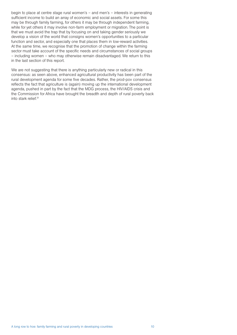begin to place at centre stage rural women's – and men's – interests in generating sufficient income to build an array of economic and social assets. For some this may be through family farming, for others it may be through independent farming, while for yet others it may involve non-farm employment or migration. The point is that we must avoid the trap that by focusing on and taking gender seriously we develop a vision of the world that consigns women's opportunities to a particular function and sector, and especially one that places them in low-reward activities. At the same time, we recognise that the promotion of change within the farming sector must take account of the specific needs and circumstances of social groups – including women – who may otherwise remain disadvantaged. We return to this in the last section of this report.

We are not suggesting that there is anything particularly new or radical in this consensus: as seen above, enhanced agricultural productivity has been part of the rural development agenda for some five decades. Rather, the prod-pov consensus reflects the fact that agriculture is (again) moving up the international development agenda, pushed in part by the fact that the MDG process, the HIV/AIDS crisis and the Commission for Africa have brought the breadth and depth of rural poverty back into stark relief.31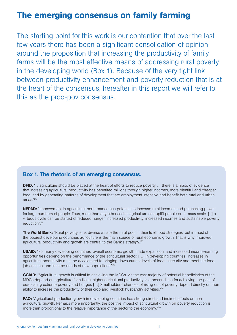### The emerging consensus on family farming

The starting point for this work is our contention that over the last few years there has been a significant consolidation of opinion around the proposition that increasing the productivity of family farms will be the most effective means of addressing rural poverty in the developing world (Box 1). Because of the very tight link between productivity enhancement and poverty reduction that is at the heart of the consensus, hereafter in this report we will refer to this as the prod-pov consensus.

### Box 1. The rhetoric of an emerging consensus.

**DFID:** "...agriculture should be placed at the heart of efforts to reduce poverty ... there is a mass of evidence that increasing agricultural productivity has benefited millions through higher incomes, more plentiful and cheaper food, and by generating patterns of development that are employment intensive and benefit both rural and urban areas."25

NEPAD: "Improvement in agricultural performance has potential to increase rural incomes and purchasing power for large numbers of people. Thus, more than any other sector, agriculture can uplift people on a mass scale. [...] a virtuous cycle can be started of reduced hunger, increased productivity, increased incomes and sustainable poverty reduction".26

The World Bank: "Rural poverty is as diverse as are the rural poor in their livelihood strategies, but in most of the poorest developing countries agriculture is the main source of rural economic growth. That is why improved agricultural productivity and growth are central to the Bank's strategy."<sup>27</sup>

USAID: "For many developing countries, overall economic growth, trade expansion, and increased income-earning opportunities depend on the performance of the agricultural sector. […] In developing countries, increases in agricultural productivity must be accelerated to bringing down current levels of food insecurity and meet the food, job creation, and income needs of new populations."<sup>28</sup>

CGIAR: "Agricultural growth is critical to achieving the MDGs. As the vast majority of potential beneficiaries of the MDGs depend on agriculture for a living, higher agricultural productivity is a precondition for achieving the goal of eradicating extreme poverty and hunger. […] Smallholders' chances of rising out of poverty depend directly on their ability to increase the productivity of their crop and livestock husbandry activities."<sup>29</sup>

FAO: "Agricultural production growth in developing countries has strong direct and indirect effects on nonagricultural growth. Perhaps more importantly, the positive impact of agricultural growth on poverty reduction is more than proportional to the relative importance of the sector to the economy."30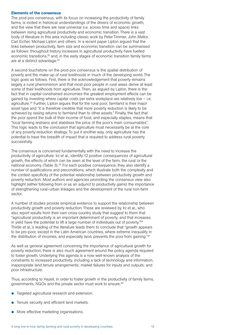#### Elements of the consensus

The prod-pov consensus, with its focus on increasing the productivity of family farms, is rooted in historical understandings of the drivers of economic growth, and the view that there are near universal (i.e. across time and space) links between rising agricultural productivity and economic transition. There is a vast body of literature in this area including classic work by Peter Timmer, John Mellor, Carl Eicher, Michael Lipton and others. In a recent paper Lipton argued that the links between productivity, farm size and economic transition can be summarised as follows: throughout history increases in agricultural productivity have fuelled economic transitions,<sup>32</sup> and, in the early stages of economic transition family farms are at a distinct advantage.<sup>33</sup>

A second touchstone on the prod-pov consensus is the spatial distribution of poverty and the make-up of rural livelihoods in much of the developing world. The logic goes as follows. First, there is the acknowledgement that poverty remains largely a rural phenomenon and that most poor people in rural areas derive at least some of their livelihoods from agriculture. Then, as argued by Lipton, there is the fact that in capital-constrained economies the greatest employment effects can be gained by investing where capital costs per extra workplace are relatively low – i.e. agriculture.34 Further, Lipton argues that for the rural poor, farmland is their major asset type and "it is therefore credible that more poverty reduction is likely to be achieved by raising returns to farmland than to other assets." Finally, the fact that the poor spend the bulk of their income of food, and especially staples, means that "local farming restrains and stabilises the price of the poor's main consumables". This logic leads to the conclusion that agriculture must necessarily be at the core of any poverty-reduction strategy. To put it another way, only agriculture has the potential to have the breadth of impact that is required to address rural poverty successfully.

The consensus is concerned fundamentally with the need to increase the productivity of agriculture. Irz et al., identify 12 positive consequences of agricultural growth, the effects of which can be seen at the level of the farm, the rural or the national economy (Table 3).<sup>35</sup> For each positive consequence, they also identify a number of qualifications and preconditions, which illustrate both the complexity and the context specificity of the potential relationship between productivity growth and poverty reduction. Most authors and agencies promoting the consensus view also highlight (either following from or as an adjunct to productivity gains) the importance of strengthening rural–urban linkages and the development of the rural non-farm sector.

A number of studies provide empirical evidence to support the relationship between productivity growth and poverty reduction. These are reviewed by Irz et al., who also report results from their own cross-country study that suggest to them that "agricultural productivity is an important determinant of poverty, and that increases in yield have the potential to lift a large number of individuals out of poverty."36 Thirtle et al.,'s reading of the literature leads them to conclude that "growth appears to be pro-poor, except in the Latin American countries, where extreme inequality in the distribution of incomes, and especially land, prevents the poor from gaining."<sup>37</sup>

As well as general agreement concerning the importance of agricultural growth for poverty reduction, there is also much agreement around the policy agenda required to foster growth. Underlying this agenda is a now well-known analysis of the constraints to increased productivity, including a lack of technology and information; inappropriate land tenure arrangements; market failures for inputs and outputs; and poor infrastructure.

Thus, according to Hazell, in order to foster growth in the productivity of family farms, governments, NGOs and the private sector must work to ensure:39

- **•** Targeted agricultural research and extension.
- Tenure security and efficient land markets.
- More effective marketing organisations.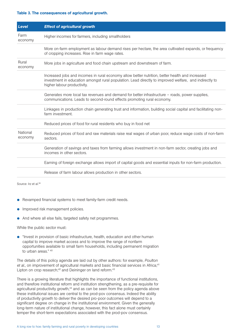#### Table 3. The consequences of agricultural growth.

| <b>Level</b>        | <b>Effect of agricultural growth</b>                                                                                                                                                                                                     |
|---------------------|------------------------------------------------------------------------------------------------------------------------------------------------------------------------------------------------------------------------------------------|
| Farm<br>economy     | Higher incomes for farmers, including smallholders                                                                                                                                                                                       |
|                     | More on-farm employment as labour demand rises per hectare, the area cultivated expands, or frequency<br>of cropping increases. Rise in farm wage rates.                                                                                 |
| Rural<br>economy    | More jobs in agriculture and food chain upstream and downstream of farm.                                                                                                                                                                 |
|                     | Increased jobs and incomes in rural economy allow better nutrition, better health and increased<br>investment in education amongst rural population. Lead directly to improved welfare, and indirectly to<br>higher labour productivity. |
|                     | Generates more local tax revenues and demand for better infrastructure – roads, power supplies,<br>communications. Leads to second-round effects promoting rural economy.                                                                |
|                     | Linkages in production chain generating trust and information, building social capital and facilitating non-<br>farm investment.                                                                                                         |
|                     | Reduced prices of food for rural residents who buy in food net                                                                                                                                                                           |
| National<br>economy | Reduced prices of food and raw materials raise real wages of urban poor, reduce wage costs of non-farm<br>sectors.                                                                                                                       |
|                     | Generation of savings and taxes from farming allows investment in non-farm sector, creating jobs and<br>incomes in other sectors.                                                                                                        |
|                     | Earning of foreign exchange allows import of capital goods and essential inputs for non-farm production.                                                                                                                                 |
|                     | Release of farm labour allows production in other sectors.                                                                                                                                                                               |

Source: Irz et al.<sup>38</sup>

- Revamped financial systems to meet family-farm credit needs.
- $\bullet$  Improved risk management policies.
- And where all else fails, targeted safety net programmes.

While the public sector must:

P "Invest in provision of basic infrastructure, health, education and other human capital to improve market access and to improve the range of nonfarm opportunities available to small farm households, including permanent migration to urban areas." 40

The details of this policy agenda are laid out by other authors: for example, *Poulton*  et al., on improvement of agricultural markets and basic financial services in Africa;<sup>41</sup> Lipton on crop research;<sup>42</sup> and Deininger on land reform.<sup>43</sup>

There is a growing literature that highlights the importance of functional institutions, and therefore institutional reform and institution strengthening, as a pre-requisite for agricultural productivity growth,<sup>44</sup> and as can be seen from the policy agenda above these institutional issues are central to the prod-pov consensus. Indeed the ability of productivity growth to deliver the desired pro-poor outcomes will depend to a significant degree on change in the institutional environment. Given the generally long-term nature of institutional change, however, this fact alone must certainly temper the short-term expectations associated with the prod-pov consensus.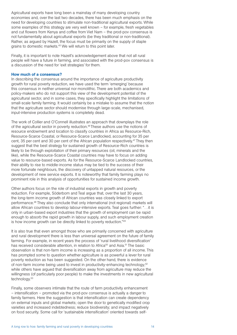Agricultural exports have long been a mainstay of many developing country economies and, over the last two decades, there has been much emphasis on the need for developing countries to stimulate non-traditional agricultural exports. While some examples of this strategy are very well known – for example, fresh vegetables and cut flowers from Kenya and coffee from Viet Nam – the prod-pov consensus is not fundamentally about agricultural exports (be they traditional or non-traditional). Rather, as argued by Hazell, the focus must be primarily on the supply of staple grains to domestic markets.45 We will return to this point later.

Finally, it is important to note Hazell's acknowledgement above that not all rural people will have a future in farming, and associated with the prod-pov consensus is a discussion of the need for 'exit strategies' for them.

#### How much of a consensus?

In describing the consensus around the importance of agriculture productivity growth for rural poverty reduction, we have used the term 'emerging' because this consensus in neither universal nor monolithic. There are both academics and policy-makers who do not support this view of the development potential of the agricultural sector, and in some cases, they specifically highlight the limitations of small-scale family farming. It would certainly be a mistake to assume that the notion that the agriculture sector should modernise through large-scale, mechanised, input-intensive production systems is completely dead.

The work of Collier and O'Connell illustrates an approach that downplays the role of the agricultural sector in poverty reduction.46 These authors use the notions of resource endowment and location to classify countries in Africa as Resource-Rich, Resource-Scarce Coastal, or Resource-Scarce Landlocked, accounting for 35 per cent, 35 per cent and 30 per cent of the African population respectively.47 They then suggest that the best strategy for sustained growth of Resource-Rich countries is likely to be through exploitation of their primary resources (oil, minerals and the like), while the Resource-Scarce Coastal countries may have to focus on adding value to resource-based exports. As for the Resource-Scarce Landlocked countries, their ability to rise to middle-income status may be tied to the success of their more fortunate neighbours, the discovery of untapped natural resources, or the development of new service exports. It is noteworthy that family farming plays no prominent role in this analysis of opportunities for sustained income growth.

Other authors focus on the role of industrial exports in growth and poverty reduction. For example, Söderbom and Teal argue that, over the last 30 years, the long-term income growth of African countries was closely linked to export performance.48 They also conclude that only international (not regional) markets will allow African countries to develop labour-intensive exports. Teal goes further: "…it is only in urban-based export industries that the growth of employment can be rapid enough to absorb the rapid growth in labour supply, and such employment creation is how income growth can be directly linked to poverty reduction."49

It is also true that even amongst those who are primarily concerned with agriculture and rural development there is less than universal agreement on the future of family farming. For example, in recent years the process of 'rural livelihood diversification' has received considerable attention, in relation to Africa<sup>50</sup> and Asia.<sup>51</sup> The basic observation is that non-farm income is increasing as a proportion of all income. This has prompted some to question whether agriculture is as powerful a lever for rural poverty reduction as has been suggested. On the other hand, there is evidence of non-farm income being used to invest in productivity-enhancing technology;52 while others have argued that diversification away from agriculture may reduce the willingness (of particularly poor people) to make the investments in new agricultural technology.<sup>53</sup>

Finally, some observers intimate that the route of farm productivity enhancement – intensification – promoted via the prod-pov consensus is actually a danger to family farmers. Here the suggestion is that intensification can create dependency on external inputs and global markets; open the door to genetically modified crop varieties and increased indebtedness; reduce biodiversity; and impact negatively on food security. Some call for 'sustainable intensification' oriented towards self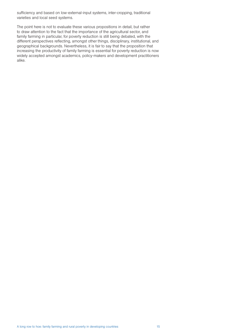sufficiency and based on low-external-input systems, inter-cropping, traditional varieties and local seed systems.

The point here is not to evaluate these various propositions in detail, but rather to draw attention to the fact that the importance of the agricultural sector, and family farming in particular, for poverty reduction is still being debated, with the different perspectives reflecting, amongst other things, disciplinary, institutional, and geographical backgrounds. Nevertheless, it is fair to say that the proposition that increasing the productivity of family farming is essential for poverty reduction is now widely accepted amongst academics, policy-makers and development practitioners alike.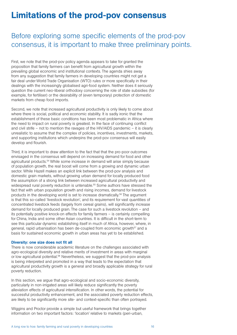### Limitations of the prod-pov consensus

### Before exploring some specific elements of the prod-pov consensus, it is important to make three preliminary points.

First, we note that the prod-pov policy agenda appears to take for granted the proposition that family farmers can benefit from agricultural growth within the prevailing global economic and institutional contexts. The agenda shies away from any suggestion that family farmers in developing countries might not get a fair deal under World Trade Organisation (WTO) rules or more specifically in their dealings with the increasingly globalised agri-food system. Neither does it seriously question the current neo-liberal orthodoxy concerning the role of state subsidies (for example, for fertiliser) or the desirability of (even temporary) protection of domestic markets from cheap food imports.

Second, we note that increased agricultural productivity is only likely to come about where there is social, political and economic stability. It is sadly ironic that the establishment of these basic conditions has been most problematic in Africa where the need to impact on rural poverty is greatest. In the face of continuing conflict and civil strife – not to mention the ravages of the HIV/AIDS pandemic – it is clearly unrealistic to assume that the complex of policies, incentives, investments, markets, and supporting institutions which underpins the prod-pov consensus will easily develop and flourish.

Third, it is important to draw attention to the fact that that the pro-poor outcomes envisaged in the consensus will depend on increasing demand for food and other agricultural products.54 While some increase in demand will arise simply because of population growth, the real boost will come from a growing and dynamic urban sector. While Hazell makes an explicit link between the prod-pov analysis and domestic grain markets, without growing urban demand for locally produced food the assumption of a strong link between increased agricultural productivity and widespread rural poverty reduction is untenable.<sup>55</sup> Some authors have stressed the fact that with urban population growth and rising incomes, demand for livestock products in the developing world is set to increase dramatically.56 The argument is that this so-called 'livestock revolution', and its requirement for vast quantities of concentrated livestock feeds (largely from cereal grains), will significantly increase demand for locally produced grain. The case for such a livestock revolution – and its potentially positive knock-on effects for family farmers – is certainly compelling for China, India and some other Asian countries. It is difficult in the short-term to see this particular dynamic establishing itself in much of Africa, however, where, in general, rapid urbanisation has been de-coupled from economic growth<sup>57</sup> and a basis for sustained economic growth in urban areas has yet to be established.

#### Diversity: one size does not fit all

There is now considerable academic literature on the challenges associated with agro-ecological diversity and relative merits of investment in areas with marginal or low agricultural potential.58 Nevertheless, we suggest that the prod-pov analysis is being interpreted and promoted in a way that leads to the expectation that agricultural productivity growth is a general and broadly applicable strategy for rural poverty reduction.

In this section, we argue that agro-ecological and socio-economic diversity. particularly in non-irrigated areas will likely reduce significantly the poverty alleviation effects of agricultural intensification. In other words, the potential for successful productivity enhancement, and the associated poverty reduction effects, are likely to be significantly more site- and context-specific than often portrayed.

Wiggins and Proctor provide a simple but useful framework that brings together information on two important factors: 'location' relative to markets (peri-urban,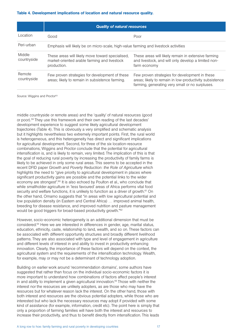#### Table 4. Development implications of location and natural resource quality.

|                       | <b>Quality of natural resources</b>                                                                             |                                                                                                                                                              |  |
|-----------------------|-----------------------------------------------------------------------------------------------------------------|--------------------------------------------------------------------------------------------------------------------------------------------------------------|--|
| l ocation             | Good                                                                                                            | Poor                                                                                                                                                         |  |
| Peri-urban            | Emphasis will likely be on micro-scale, high-value farming and livestock activities                             |                                                                                                                                                              |  |
| Middle<br>countryside | These areas will likely move toward specialised,<br>market-oriented arable farming and livestock<br>production. | These areas will likely remain in extensive farming<br>and livestock, and will only develop a limited non-<br>farm economy                                   |  |
| Remote<br>countryside | Few proven strategies for development of these<br>areas; likely to remain in subsistence farming.               | Few proven strategies for development in these<br>areas; likely to remain in low-productivity subsistence<br>farming, generating very small or no surpluses. |  |

Source: Wiggins and Proctor<sup>63</sup>

middle countryside or remote areas) and the 'quality' of natural resources (good or poor).59 They use this framework and their own reading of the last decades' development experience to suggest some likely agricultural development trajectories (Table 4). This is obviously a very simplified and schematic analysis but it highlights nevertheless two extremely important points. First, the rural world is heterogeneous, and this heterogeneity has direct and significant implications for agricultural development. Second, for three of the six location-resource combinations, Wiggins and Proctor conclude that the potential for agricultural intensification is, and is likely to remain, very limited. The implication of this is that the goal of reducing rural poverty by increasing the productivity of family farms is likely to be achieved in only some rural areas. This seems to be accepted in the recent DFID paper *Growth and Poverty Reduction: the Role of Agriculture* which highlights the need to "give priority to agricultural development in places where significant productivity gains are possible and the potential links to the wider economy are strongest".<sup>60</sup> It is also echoed by Poulton et al., who conclude that while smallholder agriculture in 'less favoured' areas of Africa performs vital food security and welfare functions, it is unlikely to function as a driver of growth.<sup>61</sup> On the other hand, Omamo suggests that "in areas with low agricultural potential and low population density (in Eastern and Central Africa) … improved animal health, breeding for disease resistance, and improved nutrition and pasture management would be good triggers for broad-based productivity growth."<sup>62</sup>

However, socio-economic heterogeneity is an additional dimension that must be considered.64 Here we are interested in differences in gender, age, marital status, education, ethnicity, caste, relationship to land, wealth, and so on. These factors can be associated with different opportunity structures and broadly different livelihood patterns. They are also associated with type and level of engagement in agriculture and different levels of interest in and ability to invest in productivity enhancing innovation. Clearly, the importance of these factors will depend on the context, the agricultural system and the requirements of the intensification technology. Wealth, for example, may or may not be a determinant of technology adoption.

Building on earlier work around 'recommendation domains', some authors have suggested that rather than focus on the individual socio-economic factors it is more important to understand how combinations of factors affect people's interest in and ability to implement a given agricultural innovation.<sup>65</sup> Those with neither the interest nor the resources are unlikely adopters, as are those who may have the resources but for whatever reason lack the interest. On the other hand, those with both interest and resources are the obvious potential adopters, while those who are interested but who lack the necessary resources may adopt if provided with some kind of assistance (for example, information, credit etc). The point here is simply that only a proportion of farming families will have both the interest and resources to increase their productivity, and thus to benefit directly from intensification. This leads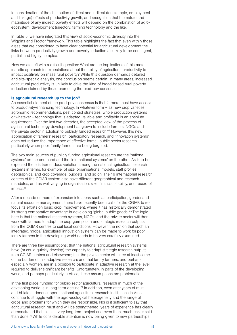to consideration of the distribution of direct and indirect (for example, employment and linkage) effects of productivity growth, and recognition that the nature and magnitude of any indirect poverty effects will depend on the combination of agroecosystem, development trajectory, farming technology and the like.

In Table 5, we have integrated this view of socio-economic diversity into the Wiggins and Proctor framework. This table highlights the fact that even within those areas that are considered to have clear potential for agricultural development the links between productivity growth and poverty reduction are likely to be contingent, partial, and highly complex.

Now we are left with a difficult question: What are the implications of this more realistic approach for expectations about the ability of agricultural productivity to impact positively on mass rural poverty? While this question demands detailed and site-specific analysis, one conclusion seems certain: in many areas, increased agricultural productivity is unlikely to drive the kind of broad-based rural poverty reduction claimed by those promoting the prod-pov consensus.

#### Is agricultural research up to the job?

An essential element of the prod-pov consensus is that farmers must have access to productivity-enhancing technology. In whatever form – as new crop varieties, agronomic recommendations, pest control strategies, whole production systems or whatever – technology that is adapted, reliable and profitable is an absolute requirement. Over the last two decades, the accepted view of the process of agricultural technology development has grown to include farmers, NGOs and the private sector in addition to publicly funded research.<sup>66</sup> However, this new appreciation of farmers' research, participatory research, and 'innovation systems', does not reduce the importance of effective formal, public sector research, particularly when poor, family farmers are being targeted.

The two main sources of publicly funded agricultural research are the 'national systems' on the one hand and the 'international systems' on the other. As is to be expected there is tremendous variation among the national agricultural research systems in terms, for example, of size, organisational models, staff profiles, geographical and crop coverage, budgets, and so on. The 16 international research centres of the CGIAR system also have different geographical and research mandates, and as well varying in organisation, size, financial stability, and record of impact.<sup>68</sup>

After a decade or more of expansion into areas such as participation, gender and natural resource management, there have recently been calls for the CGIAR to refocus its efforts on basic crop improvement, where it has historically demonstrated its strong comparative advantage in developing 'global public goods'.<sup>69</sup> The logic here is that the national research systems, NGOs, and the private sector will then work with farmers to adapt the crop germplasm and strategic research outputs from the CGIAR centres to suit local conditions. However, the notion that such an integrated, 'global agricultural innovation system' can be made to work for poor family farmers in the developing world needs to be very carefully examined.

There are three key assumptions: that the national agricultural research systems have (or could quickly develop) the capacity to adapt strategic research outputs from CGIAR centres and elsewhere; that the private sector will carry at least some of the burden of this adaptive research; and that family farmers, and perhaps especially women, are in a position to participate in adaptive research at the level required to deliver significant benefits. Unfortunately, in parts of the developing world, and perhaps particularly in Africa, these assumptions are problematic.

In the first place, funding for public-sector agricultural research in much of the developing world is in long-term decline.70 In addition, even after years of multiand bi-lateral donor support, national agricultural research institutions in Africa continue to struggle with the agro-ecological heterogeneity and the range of crops and problems for which they are responsible. Nor is it sufficient to say that agricultural research must and will be strengthened: years of experience has clearly demonstrated that this is a very long-term project and even then, much easier said than done.<sup>71</sup> While considerable attention is now being given to new partnerships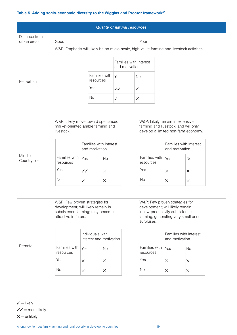#### Table 5. Adding socio-economic diversity to the Wiggins and Proctor framework $67$

|                              |      | <b>Quality of natural resources</b> |  |
|------------------------------|------|-------------------------------------|--|
| Distance from<br>urban areas | Good | Poor                                |  |
|                              |      |                                     |  |

#### W&P: Emphasis will likely be on micro-scale, high-value farming and livestock activities

|                            | Families with interest<br>and motivation |          |
|----------------------------|------------------------------------------|----------|
| Families with<br>resources | Yes                                      | Nο       |
| Yes                        | $\cal{J}$                                | X        |
| N٥                         |                                          | $\times$ |

W&P: Likely move toward specialised, market-oriented arable farming and livestock.

|                            | Families with interest<br>and motivation |          |
|----------------------------|------------------------------------------|----------|
| Families with<br>resources | Yes                                      | Nο       |
| Yes                        | ${\cal J}$                               | X        |
| N٥                         |                                          | $\times$ |

W&P: Likely remain in extensive farming and livestock, and will only develop a limited non-farm economy.

|                            | Families with interest<br>and motivation |          |
|----------------------------|------------------------------------------|----------|
| Families with<br>resources | Yes                                      | N٥       |
| Yes                        | X                                        | $\times$ |
| Nο                         | ×                                        | $\times$ |

W&P: Few proven strategies for development; will likely remain in subsistence farming; may become attractive in future.

|                            | Individuals with<br>interest and motivation |    |
|----------------------------|---------------------------------------------|----|
| Families with<br>resources | Yes                                         | Nο |
| Yes                        | X                                           | X  |
| Nο                         | $\times$                                    | ×  |

W&P: Few proven strategies for development; will likely remain in low-productivity subsistence farming, generating very small or no surpluses.

|                            | Families with interest<br>and motivation |          |
|----------------------------|------------------------------------------|----------|
| Families with<br>resources | Yes                                      | Nο       |
| Yes                        | X                                        | X        |
| NΜ                         | $\times$                                 | $\times$ |

Remote

Peri-urban

Middle **Countryside** 

 $\checkmark$  = likely  $\sqrt{3}$  = more likely  $X =$  unlikely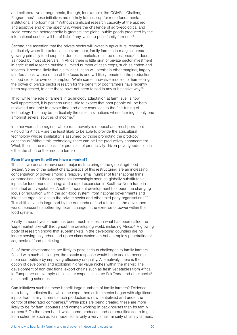and collaborative arrangements, through, for example, the CGIAR's 'Challenge Programmes', these initiatives are unlikely to make-up for more fundamental institutional shortcomings.72 Without significant research capacity at the applied and adaptive end of the spectrum, where the challenge of agro-ecological and socio-economic heterogeneity is greatest, the global public goods produced by the international centres will be of little, if any, value to poor, family farmers.<sup>73</sup>

Second, the assertion that the private sector will invest in agricultural research, particularly when the potential users are poor, family farmers in marginal areas growing primarily food crops for domestic markets, must be questioned.<sup>74</sup> Indeed, as noted by most observers, in Africa there is little sign of private sector investment in agricultural research outside a limited number of cash crops, such as cotton and tobacco. It seems likely that a similar situation will persist in other marginal, largely rain-fed areas, where much of the focus is and will likely remain on the production of food crops for own consumption. While some innovative models for harnessing the power of private sector research for the benefit of poor farmers have recently been suggested, to date these have not been tested in any substantive way.<sup>75</sup>

Third, while the role of farmers in technology adaptation at farm level is now well appreciated, it is perhaps unrealistic to expect that poor people will be both motivated and able to devote time and other resources to the fine-tuning of technology. This may be particularly the case in situations where farming is only one amongst several sources of income.76

In other words, the regions where rural poverty is deepest and most persistent –including Africa – are the least likely to be able to provide the agricultural technology whose availability is assumed by those promoting the prod-pov consensus. Without this technology, there can be little productivity enhancement. What, then, is the real basis for promises of productivity-driven poverty reduction in either the short or the medium terms?

#### Even if we grow it, will we have a market?

The last two decades have seen major restructuring of the global agri-food system. Some of the salient characteristics of this restructuring are an increasing concentration of power among a relatively small number of transnational firms; commodities and their components increasingly seen as globally substitutable inputs for food manufacturing; and a rapid expansion in South-to-North trade in fresh fruit and vegetables. Another important development has been the changing locus of regulation within the agri-food system, from national governments and interstate organisations to the private sector and other third party organisations.<sup>77</sup> This shift, driven in large part by the demands of food retailers in the developed world, represents another significant change in the exercise of power within the food system.

Finally, in recent years there has been much interest in what has been called the 'supermarket take-off' throughout the developing world, including Africa.78 A growing body of research shows that supermarkets in the developing countries are no longer serving only urban and upper class customers but are rapidly penetrating all segments of food marketing.

All of these developments are likely to pose serious challenges to family farmers. Faced with such challenges, the classic response would be to seek to become more competitive by improving efficiency or quality. Alternatively, there is the option of developing and exploiting higher value niches within the market. The development of non-traditional export chains such as fresh vegetables from Africa to Europe are an example of this latter response, as are Fair Trade and other social/ eco labelling schemes.

Can initiatives such as these benefit large numbers of family farmers? Evidence from Kenya indicates that while the export horticulture sector began with significant inputs from family farmers, much production is now centralised and under the control of integrated companies.<sup>79</sup> While jobs are being created, these are more likely to be for farm labourers and women working in pack houses than for family farmers.<sup>80</sup> On the other hand, while some producers and communities seem to gain from schemes such as Fair Trade, so far only a very small minority of family farmers,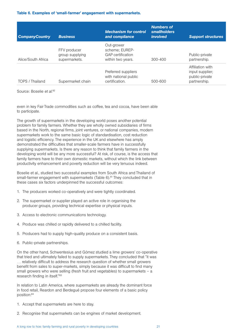#### Table 6. Examples of 'small-farmer' engagement with supermarkets.

| <b>CompanyCountry</b> | <b>Business</b>                                  | <b>Mechanism for control</b><br>and compliance                         | <b>Numbers of</b><br>smallholders<br><i>involved</i> | <b>Support structures</b>                                             |
|-----------------------|--------------------------------------------------|------------------------------------------------------------------------|------------------------------------------------------|-----------------------------------------------------------------------|
| Alice/South Africa    | FFV producer<br>group supplying<br>supermarkets. | Out-grower<br>scheme; EUREP-<br>GAP certification<br>within two years. | $300 - 400$                                          | Public-private<br>partnership.                                        |
| TOPS / Thailand       | Supermarket chain                                | Preferred suppliers<br>with national public<br>certification.          | 500-600                                              | Affiliation with<br>input supplier;<br>public-private<br>partnership. |

Source: Boselie *et al.*82

even in key Fair Trade commodities such as coffee, tea and cocoa, have been able to participate.

The growth of supermarkets in the developing world poses another potential problem for family farmers. Whether they are wholly owned subsidiaries of firms based in the North, regional firms, joint ventures, or national companies, modern supermarkets work to the same basic logic of standardisation, cost reduction and logistic efficiency. The experience in the UK and elsewhere has amply demonstrated the difficulties that smaller-scale farmers have in successfully supplying supermarkets. Is there any reason to think that family farmers in the developing world will be any more successful? At risk, of course, is the access that family farmers have to their own domestic markets, without which the link between productivity enhancement and poverty reduction will be very tenuous indeed.

Boselie et al., studied two successful examples from South Africa and Thailand of small-farmer engagement with supermarkets (Table 6).<sup>81</sup> They concluded that in these cases six factors underpinned the successful outcomes:

- 1. The producers worked co-operatively and were tightly coordinated.
- 2. The supermarket or supplier played an active role in organising the producer groups, providing technical expertise or physical inputs.
- 3. Access to electronic communications technology.
- 4. Produce was chilled or rapidly delivered to a chilled facility.
- 5. Producers had to supply high-quality produce on a consistent basis.
- 6. Public-private partnerships.

On the other hand, Schwentesius and Gómez studied a lime growers' co-operative that tried and ultimately failed to supply supermarkets. They concluded that "it was … relatively difficult to address the research question of whether small growers benefit from sales to super-markets, simply because it was difficult to find many small growers who were selling (fresh fruit and vegetables) to supermarkets – a research finding in itself."83

In relation to Latin America, where supermarkets are already the dominant force in food retail, Reardon and Berdegué propose four elements of a basic policy position:84

- 1. Accept that supermarkets are here to stay.
- 2. Recognise that supermarkets can be engines of market development.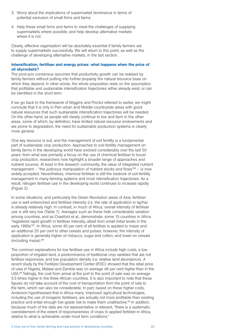- 3. Worry about the implications of supermarket dominance in terms of potential exclusion of small firms and farms.
- 4. Help these small firms and farms to meet the challenges of supplying supermarkets where possible; and help develop alternative markets where it is not.

Clearly, effective organisation will be absolutely essential if family farmers are to supply supermarkets successfully. We will return to this point, as well as the challenge of developing alternative markets, in the last section.

#### Intensification, fertiliser and energy prices: what happens when the price of oil skyrockets?

The prod-pov consensus assumes that productivity growth can be realised by family farmers without putting into further jeopardy the natural resource base on which they depend. In other words, the whole proposition rests on the assumption that profitable and sustainable intensification trajectories either already exist, or can be identified in the short term.

If we go back to the framework of Wiggins and Proctor referred to earlier, we might conclude that it is only in Peri-urban and Middle-countryside areas with good natural resources that such sustainable intensification trajectories will be needed. On the other hand, as people will clearly continue to live and farm in the other areas, some of which, by definition, have limited natural resource endowments and are prone to degradation, the need for sustainable production systems is clearly more general.

One key resource is soil, and the management of soil fertility is a fundamental part of sustainable crop production. Approaches to soil-fertility management on family farms in the developing world have evolved considerably over the last 50 years: from what was primarily a focus on the use of chemical fertiliser to boost crop production, researchers now highlight a broader range of approaches and nutrient sources. At least in the research community, the value of integrated nutrient management – "the judicious manipulation of nutrient stocks and flows" $85 - is now$ widely accepted. Nevertheless, chemical fertiliser is still the bedrock of soil-fertility management in many farming systems and most intensification trajectories. As a result, nitrogen fertiliser use in the developing world continues to increase rapidly (Figure 2).

In some situations, and particularly the Green Revolution areas of Asia, fertiliser use is well entrenched and fertiliser intensity (i.e. the rate of application in kg/ha) is already relatively high. In contrast, in much of Africa, overall intensity of fertiliser use is still very low (Table 7). Averages such as these hide considerable variation among countries, and as Crawford et al., demonstrate, some 15 countries in Africa "registered rapid growth in fertiliser intensity, albeit from small initial levels in the early 1990s"87. In Africa, some 40 per cent of all fertiliser is applied to maize and an additional 20 per cent to other cereals and pulses; however, the intensity of application is generally higher on tobacco, sugar and cotton, and lower on cereals (including maize).88

The common explanations for low fertiliser use in Africa include high costs, a low proportion of irrigated land, a predominance of traditional crop varieties that are not fertiliser responsive, and low population density (i.e. relative land abundance). A recent study by the Fertilizer Development Center (IFDC) showed that the retail price of urea in Nigeria, Malawi and Zambia was on average 46 per cent higher than in the USA.89 Tellingly, the cost from arrival at the port to the point of sale was on average 5.5 times higher in the three African countries. It is also important to note that these figures do not take account of the cost of transportation from the point of sale to the farm, which can also be considerable. In part, based on these higher costs, Anderson hypothesised that in Africa many 'improved' agricultural technologies, including the use of inorganic fertilisers, are actually not more profitable than existing practice and entail enough low-grade risk to make them unattractive.<sup>90</sup> In addition, because much of the data are not representative or relevant, "there is a systematic overstatement of the extent of responsiveness of crops to applied fertilizer in Africa, relative to what is achievable under most farm conditions."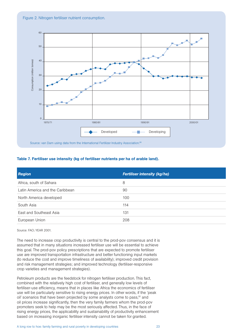

#### Table 7. Fertiliser use intensity (kg of fertiliser nutrients per ha of arable land).

| <b>Region</b>                   | <b>Fertiliser intensity (kg/ha)</b> |
|---------------------------------|-------------------------------------|
| Africa, south of Sahara         | 8                                   |
| Latin America and the Caribbean | 90                                  |
| North America developed         | 100                                 |
| South Asia                      | 114                                 |
| East and Southeast Asia         | 131                                 |
| European Union                  | 208                                 |

Source: FAO; YEAR 2001.

The need to increase crop productivity is central to the prod-pov consensus and it is assumed that in many situations increased fertiliser use will be essential to achieve this goal. The prod-pov policy prescriptions that are expected to promote fertiliser use are improved transportation infrastructure and better functioning input markets (to reduce the cost and improve timeliness of availability); improved credit provision and risk management strategies; and improved technology (fertiliser-responsive crop varieties and management strategies).

Petroleum products are the feedstock for nitrogen fertiliser production. This fact, combined with the relatively high cost of fertiliser, and generally low levels of fertiliser-use efficiency, means that in places like Africa the economics of fertiliser use will be particularly sensitive to rising energy prices. In other words, if the 'peak oil' scenarios that have been projected by some analysts come to pass,<sup>91</sup> and oil prices increase significantly, then the very family farmers whom the prod-pov promoters seek to help may be the most seriously affected. Thus, in the face of rising energy prices, the applicability and sustainability of productivity enhancement based on increasing inorganic fertiliser intensity cannot be taken for granted.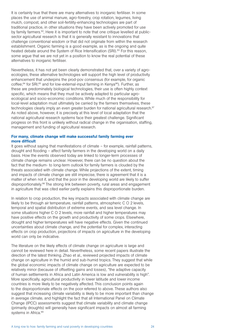It is certainly true that there are many alternatives to inorganic fertiliser. In some places the use of animal manure, agro-forestry, crop rotation, legumes, living mulch, compost, and other soil-fertility-enhancing technologies are part of traditional practice, in other situations they have been actively promoted for use by family farmers.<sup>92</sup>, Here it is important to note that one critique levelled at publicsector agricultural research is that it is generally resistant to innovations that challenge conventional wisdom or that did not originate from within the research establishment. Organic farming is a good example, as is the ongoing and quite heated debate around the System of Rice Intensification (SRI).<sup>93</sup> For this reason, some argue that we are not yet in a position to know the real potential of these alternatives to inorganic fertiliser.

Nevertheless, it has not yet been clearly demonstrated that, over a variety of agroecologies, these alternative technologies will support the high level of productivity enhancement that underpins the prod-pov consensus (for example, for organic coffee;<sup>94</sup> for SRI;<sup>95</sup> and for low-external-input farming in Kenya<sup>96</sup>). Further, as these are predominately biological technologies, their use is often highly context specific, which means that they must be actively adapted to particular agroecological and socio-economic conditions. While much of the responsibility for local-level adaptation must ultimately be carried by the farmers themselves, these technologies clearly imply an even greater burden for national agricultural research.<sup>97</sup> As noted above, however, it is precisely at this level of local adaptation that the national agricultural research systems face their greatest challenge. Significant progress on this front is unlikely without radical change in the organisation, staffing, management and funding of agricultural research.

#### For many, climate change will make successful family farming ever more difficult

It goes without saying that manifestations of climate – for example, rainfall patterns, drought and flooding – affect family farmers in the developing world on a daily basis. How the events observed today are linked to longer-term processes of climate change remains unclear. However, there can be no question about the fact that the medium- to long-term outlook for family farmers is clouded by the threats associated with climate change. While projections of the extent, timing and impacts of climate change are still imprecise, there is agreement that it is a matter of when not if, and that the poor in the developing world are likely to suffer disproportionately.98 The strong link between poverty, rural areas and engagement in agriculture that was cited earlier partly explains this disproportionate burden.

In relation to crop production, the key impacts associated with climate change are likely to be through air temperature, rainfall patterns, atmospheric C O 2 levels, temporal and spatial distribution of extreme events, and sea level change. In some situations higher C O 2 levels, more rainfall and higher temperatures may have positive effects on the growth and productivity of some crops. Elsewhere, drought and higher temperatures will have negative effects. Given the continued uncertainties about climate change, and the potential for complex, interacting effects on crop production, projections of impacts on agriculture in the developing world can only be indicative.

The literature on the likely effects of climate change on agriculture is large and cannot be reviewed here in detail. Nevertheless, some recent papers illustrate the direction of the latest thinking. Zhao et al., reviewed projected impacts of climate change on agriculture in the humid and sub-humid tropics. They suggest that while the global economic impacts of climate change on agriculture are expected to be relatively minor (because of offsetting gains and losses), "the adaptive capacity of human settlements in Africa and Latin America is low and vulnerability is high". More specifically, agricultural productivity in lower latitude and lower income countries is more likely to be negatively affected. This conclusion points again to the disproportionate effects on the poor referred to above. These authors also suggest that increasing climate variability is likely to be more important than change in average climate, and highlight the fact that all International Panel on Climate Change (IPCC) assessments suggest that climate variability and climate change (primarily droughts) will generally have significant impacts on almost all farming systems in Africa.<sup>99</sup>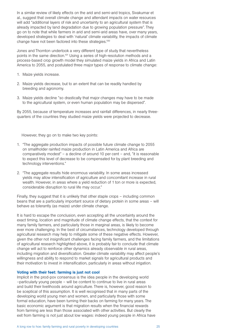In a similar review of likely effects on the arid and semi-arid tropics, Sivakumar et al., suggest that overall climate change and attendant impacts on water resources will add "additional layers of risk and uncertainty to an agricultural system that is already impacted by land degradation due to growing population pressure". They go on to note that while farmers in arid and semi-arid areas have, over many years, developed strategies to deal with 'natural' climate variability, the impacts of climate change have not been factored into these strategies.<sup>100</sup>

Jones and Thornton undertook a very different type of study that nevertheless points in the same direction.101 Using a series of high-resolution methods and a process-based crop growth model they simulated maize yields in Africa and Latin America to 2055, and postulated three major types of response to climate change:

- 1. Maize yields increase.
- 2. Maize yields decrease, but to an extent that can be readily handled by breeding and agronomy.
- 3. Maize yields decline "so drastically that major changes may have to be made to the agricultural system, or even human population may be dispersed".

By 2055, because of temperature increases and rainfall differences, in nearly threequarters of the countries they studied maize yields were projected to decrease.

However, they go on to make two key points:

- 1. "The aggregate production impacts of possible future climate change to 2055 on smallholder rainfed maize production in Latin America and Africa are comparatively modest" – a decline of around 10 per cent – and, "it is reasonable to expect this level of decrease to be compensated for by plant breeding and technology interventions."
- 2. "The aggregate results hide enormous variability. In some areas increased yields may allow intensification of agriculture and concomitant increase in rural wealth. However, in areas where a yield reduction of 1 ton or more is expected, considerable disruption to rural life may occur."

Finally, they suggest that it is unlikely that other staple crops – including common beans that are a particularly important source of dietary protein in some areas – will behave as tolerantly (as maize) under climate change.

It is hard to escape the conclusion, even accepting all the uncertainty around the exact timing, location and magnitude of climate change effects, that the context for many family farmers, and particularly those in marginal areas, is likely to become ever more challenging. In the best of circumstances, technology developed through agricultural research may help to mitigate some of these negative effects. However, given the other not insignificant challenges facing family farmers, and the limitations of agricultural research highlighted above, it is probably fair to conclude that climate change will act to reinforce other dynamics already observable in rural areas, including migration and diversification. Greater climate variability may affect people's willingness and ability to respond to market signals for agricultural products and their motivation to invest in intensification, particularly in areas without irrigation.

#### Voting with their feet: farming is just not cool

Implicit in the prod-pov consensus is the idea people in the developing world –particularly young people – will be content to continue to live in rural areas and build their livelihoods around agriculture. There is, however, good reason to be sceptical of this assumption. It is well recognised that in many parts of the developing world young men and women, and particularly those with some formal education, have been turning their backs on farming for many years. The basic economic argument is that migration results when the financial rewards from farming are less than those associated with other activities. But clearly the exit from farming is not just about low wages: indeed young people in Africa have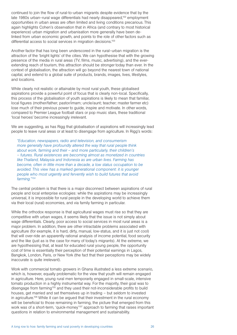continued to join the flow of rural-to-urban migrants despite evidence that by the late 1980s urban-rural wage differentials had nearly disappeared,<sup>102</sup> employment opportunities in urban areas are often limited and living conditions precarious. This again highlights Cohen's observation that in Africa (and contrary to most historical experience) urban migration and urbanisation more generally have been delinked from urban economic growth, and points to the role of other factors such as differential access to social services in migration decisions.<sup>103</sup>

Another factor that has long been underscored in the rural–urban migration is the attraction of the 'bright lights' of the cities. We can hypothesise that with the growing presence of the media in rural areas (TV, films, music, advertising), and the everextending reach of tourism, this attraction should be stronger today than ever. In the context of globalisation, the attraction will go beyond the nearest town of national capital, and extend to a global suite of products, brands, images, lives, lifestyles, and locations.

While clearly not realistic or attainable by most rural youth, these globalised aspirations provide a powerful point of focus that is clearly non-local. Specifically, this process of the globalisation of youth aspirations is likely to mean that familiar, local figures (mother/father; pastor/imam; uncle/aunt; teacher; master farmer etc) lose much of their previous power to guide, inspire and motivate. In other words, compared to Premier League football stars or pop music stars, these traditional 'local heroes' become increasingly irrelevant.

We are suggesting, as has Rigg that globalisation of aspirations will increasingly lead people to leave rural areas or at least to disengage from agriculture. In Rigg's words:

*"Education, newspapers, radio and television, and consumerism more generally have profoundly altered the way that rural people think about work, farming and their – and more particularly, their children's – futures. Rural existences are becoming almost as monetized in countries like Thailand, Malaysia and Indonesia as are urban lives. Farming has become, often in little more than a decade, a low status occupation to be avoided. This view has a marked generational component: it is younger people who most urgently and fervently wish to build futures that avoid farming."104*

The central problem is that there is a major disconnect between aspirations of rural people and local enterprise ecologies: while the aspirations may be increasingly universal, it is impossible for rural people in the developing world to achieve them via their local (rural) economies, and via family farming in particular.

While the orthodox response is that agricultural wages must rise so that they are competitive with urban wages, it seems likely that the issue is not simply about wage differentials. Clearly, poor access to social services in most rural areas is a major problem. In addition, there are other intractable problems associated with agriculture (for example, it is hard, dirty, manual, low-status, and it is just not cool) that will over-ride an apparently rational analysis of income potential, food security and the like (just as is the case for many of today's migrants). At the extreme, we are hypothesising that, at least for educated rural young people, the opportunity cost of time is essentially their perception of their potential earnings in Lagos, Bangkok, London, Paris, or New York (the fact that their perceptions may be widely inaccurate is quite irrelevant).

Work with commercial tomato growers in Ghana illustrated a less extreme scenario, which is, however, equally problematic for the view that youth will remain engaged in agriculture. Here, young rural men temporarily engaged in small-scale, intensive tomato production in a highly instrumental way. For the majority, their goal was to disengage from farming<sup>105</sup> and they used their not-inconsiderable profits to build houses, get married and set themselves up in trading – but seldom to invested in agriculture.106 While it can be argued that their investment in the rural economy will be beneficial to those remaining in farming, the picture that emerged from this work was of a short-term, 'quick-money'<sup>107</sup> approach to farming that raises important questions in relation to environmental management and sustainability.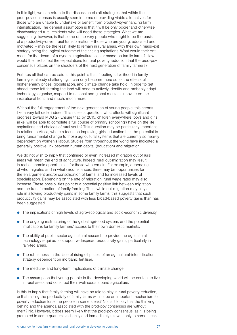In this light, we can return to the discussion of exit strategies that within the prod-pov consensus is usually seen in terms of providing viable alternatives for those who are unable to undertake or benefit from productivity-enhancing farm intensification. The general assumption is that it will be only poorer and otherwise disadvantaged rural residents who will need these strategies. What we are suggesting, however, is that some of the very people who ought to be the basis of a productivity-driven rural transformation – those who are young, educated and motivated – may be the least likely to remain in rural areas, with their own mass-exit strategy being the logical outcome of their rising aspirations. What would their exit mean for the dream of a dynamic agricultural sector based on family farms? How would their exit affect the expectations for rural poverty reduction that the prod-pov consensus places on the shoulders of the next generation of family farmers?

Perhaps all that can be said at this point is that if rooting a livelihood in family farming is already challenging, it can only become more so as the effects of higher energy prices, globalisation, and climate change take hold. In order to get ahead, those left farming the land will need to actively identify and probably adapt technology, organise, respond to national and global markets, innovate on the institutional front, and much, much more.

Without the full engagement of the next generation of young people, this seems like a very tall order indeed. This raises a question: what effects will significant progress toward MDG 2 ('Ensure that, by 2015, children everywhere, boys and girls alike, will be able to complete a full course of primary schooling') have on the life aspirations and choices of rural youth? This question may be particularly important in relation to Africa, where a focus on improving girls' education has the potential to bring fundamental change to those agricultural systems that are currently so heavily dependent on women's labour. Studies from throughout the world have indicated a generally positive link between human capital (education) and migration.

We do not wish to imply that continued or even increased migration out of rural areas will mean the end of agriculture. Indeed, rural out-migration may result in real economic opportunities for those who remain. For example, depending of who migrates and in what circumstances, there may be opportunities for the enlargement and/or consolidation of farms, and for increased levels of specialisation. Depending on the rate of migration, rural wage rates may also increase. These possibilities point to a potential positive link between migration and the transformation of family farming. Thus, while out-migration may play a role in allowing productivity gains in some family farms, this suggests that such productivity gains may be associated with less broad-based poverty gains than has been suggested.

- The implications of high levels of agro-ecological and socio-economic diversity.
- The ongoing restructuring of the global agri-food system, and the potential implications for family farmers' access to their own domestic markets.
- The ability of public-sector agricultural research to provide the agricultural technology required to support widespread productivity gains, particularly in rain-fed areas.
- The robustness, in the face of rising oil prices, of an agricultural-intensification strategy dependent on inorganic fertiliser.
- The medium- and long-term implications of climate change.
- The assumption that young people in the developing world will be content to live in rural areas and construct their livelihoods around agriculture.

Is this to imply that family farming will have no role to play in rural poverty reduction, or that raising the productivity of family farms will not be an important mechanism for poverty reduction for some people in some areas? No. Is it to say that the thinking behind and the agenda associated with the prod-pov consensus are without merit? No. However, it does seem likely that the prod-pov consensus, as it is being promoted in some quarters, is directly and immediately relevant only to some areas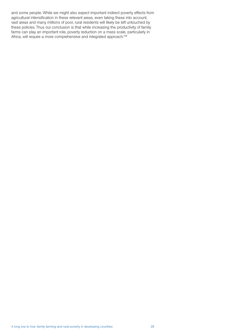and some people. While we might also expect important indirect poverty effects from agricultural intensification in these relevant areas, even taking these into account, vast areas and many millions of poor, rural residents will likely be left untouched by these policies. Thus our conclusion is that while increasing the productivity of family farms can play an important role, poverty reduction on a mass scale, particularly in Africa, will require a more comprehensive and integrated approach.<sup>108</sup>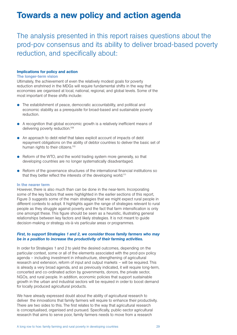### Towards a new policy and action agenda

The analysis presented in this report raises questions about the prod-pov consensus and its ability to deliver broad-based poverty reduction, and specifically about:

#### Implications for policy and action

#### The longer-term vision

Ultimately, the achievement of even the relatively modest goals for poverty reduction enshrined in the MDGs will require fundamental shifts in the way that economies are organised at local, national, regional, and global levels. Some of the most important of these shifts include:

- The establishment of peace, democratic accountability, and political and economic stability as a prerequisite for broad-based and sustainable poverty reduction.
- **•** A recognition that global economic growth is a relatively inefficient means of delivering poverty reduction.<sup>109</sup>
- P An approach to debt relief that takes explicit account of impacts of debt repayment obligations on the ability of debtor countries to deliver the basic set of human rights to their citizens.<sup>110</sup>
- Reform of the WTO, and the world trading system more generally, so that developing countries are no longer systematically disadvantaged.
- P Reform of the governance structures of the international financial institutions so that they better reflect the interests of the developing world.111

#### In the nearer term

However, there is also much than can be done in the near-term. Incorporating some of the key factors that were highlighted in the earlier sections of this report, Figure 3 suggests some of the main strategies that we might expect rural people in different contexts to adopt. It highlights again the range of strategies relevant to rural people as they struggle against poverty and the fact that farm intensification is only one amongst these. This figure should be seen as a heuristic, illustrating general relationships between key factors and likely strategies. It is not meant to guide decision-making or strategy vis-à-vis particular areas or programmes.

#### *First, to support Strategies 1 and 2, we consider those family farmers who may be in a position to increase the productivity of their farming activities.*

In order for Strategies 1 and 2 to yield the desired outcomes, depending on the particular context, some or all of the elements associated with the prod-pov policy agenda – including investment in infrastructure, strengthening of agricultural research and extension, reform of input and output markets – will be required. This is already a very broad agenda, and as previously indicated, it will require long-term, concerted and co-ordinated action by governments, donors, the private sector, NGOs, and rural people. In addition, economic policies that support sustainable growth in the urban and industrial sectors will be required in order to boost demand for locally produced agricultural products.

We have already expressed doubt about the ability of agricultural research to deliver the innovations that family farmers will require to enhance their productivity. There are two sides to this. The first relates to the way that agricultural research is conceptualised, organised and pursued. Specifically, public-sector agricultural research that aims to serve poor, family farmers needs to move from a research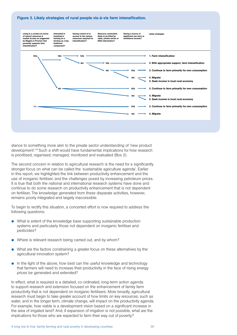#### Figure 3. Likely strategies of rural people vis-à-vis farm intensification.



stance to something more akin to the private sector understanding of 'new product development'.112 Such a shift would have fundamental implications for how research is prioritised, organised, managed, monitored and evaluated (Box 2).

The second concern in relation to agricultural research is the need for a significantly stronger focus on what can be called the 'sustainable agriculture agenda'. Earlier in this report, we highlighted the link between productivity enhancement and the use of inorganic fertiliser, and the challenges posed by increasing petroleum prices. It is true that both the national and international research systems have done and continue to do some research on productivity enhancement that is not dependent on fertiliser. The knowledge generated from these disparate activities, however, remains poorly integrated and largely inaccessible.

To begin to rectify this situation, a concerted effort is now required to address the following questions:

- $\bullet$  What is extent of the knowledge base supporting sustainable production systems and particularly those not dependent on inorganic fertiliser and pesticides?
- Where is relevant research being carried out, and by whom?
- What are the factors constraining a greater focus on these alternatives by the agricultural innovation system?
- In the light of the above, how best can the useful knowledge and technology that farmers will need to increase their productivity in the face of rising energy prices be generated and extended?

In effect, what is required is a detailed, co-ordinated, long-term action agenda to support research and extension focused on the enhancement of family farm productivity that is not dependent on inorganic fertilisers. More broadly, agricultural research must begin to take greater account of how limits on key resources, such as water, and in the longer term, climate change, will impact on the productivity agenda. For example, how viable is a development vision based on a significant increase in the area of irrigated land? And, if expansion of irrigation is not possible, what are the implications for those who are expected to farm their way out of poverty?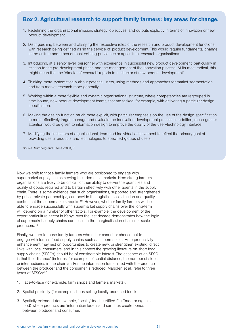### Box 2. Agricultural research to support family farmers: key areas for change.

- 1. Redefining the organisational mission, strategy, objectives, and outputs explicitly in terms of innovation or new product development.
- 2. Distinguishing between and clarifying the respective roles of the research and product development functions, with research being defined as 'in the service of' product development. This would require fundamental change in the culture and ethos of most existing public-sector agricultural research organisations.
- 3. Introducing, at a senior level, personnel with experience in successful new product development, particularly in relation to the pre-development phase and the management of the innovation process. At its most radical, this might mean that the 'director of research' reports to a 'director of new product development'.
- 4. Thinking more systematically about potential users, using methods and approaches for market segmentation, and from market research more generally.
- 5. Working within a more flexible and dynamic organisational structure, where competencies are regrouped in time-bound, new product development teams, that are tasked, for example, with delivering a particular design specification.
- 6. Making the design function much more explicit, with particular emphasis on the use of the design specification to more effectively target, manage and evaluate the innovation development process. In addition, much greater attention would be given to information design to improve the quality of the user–technology interface.
- 7. Modifying the indicators of organisational, team and individual achievement to reflect the primary goal of providing useful products and technologies to specified groups of users.

Source: Sumberg and Reece (2004)<sup>113</sup>

Now we shift to those family farmers who are positioned to engage with supermarket supply chains serving their domestic markets. Here strong farmers' organisations are likely to be critical for their ability to deliver the quantities and quality of goods required and to bargain effectively with other agents in the supply chain. There is some evidence that such organisations, supported and strengthened by public-private partnerships, can provide the logistics, co-ordination and quality control that the supermarkets require.114 However, whether family farmers will be able to engage successfully with supermarket supply chains over the long-term will depend on a number of other factors. For example, the development of the export horticulture sector in Kenya over the last decade demonstrates how the logic of supermarket supply chains can result in the marginalisation of smaller-scale producers.115

Finally, we turn to those family farmers who either cannot or choose not to engage with formal, food supply chains such as supermarkets. Here productivity enhancement may rest on opportunities to create new, or strengthen existing, direct links with local consumers, and in this context the growing literature on short food supply chains (SFSCs) should be of considerable interest. The essence of an SFSC is that the 'distance' (in terms, for example, of spatial distance, the number of steps or intermediaries in the chain and/or the information transmitted with the product) between the producer and the consumer is reduced. Marsden et al., refer to three types of SFSCs:<sup>116</sup>

- 1. Face-to-face (for example, farm shops and farmers markets).
- 2. Spatial proximity (for example, shops selling locally produced food)
- 3. Spatially extended (for example, 'locality' food, certified Fair Trade or organic food) where products are 'information laden' and can thus create bonds between producer and consumer.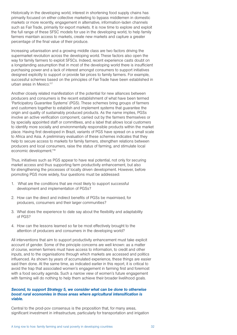Historically in the developing world, interest in shortening food supply chains has primarily focused on either collective marketing to bypass middlemen in domestic markets or more recently, engagement in alternative, information-laden channels such as Fair Trade, primarily for export markets. It is now time to explore and exploit the full range of these SFSC models for use in the developing world, to help family farmers maintain access to markets, create new markets and capture a greater percentage of the final value of their produce.

Increasing urbanisation and a growing middle class are two factors driving the supermarket revolution across the developing world. These factors also open the way for family farmers to exploit SFSCs. Indeed, recent experience casts doubt on a longstanding assumption that in most of the developing world there is insufficient purchasing power and a lack of interest amongst consumers to support initiatives designed explicitly to support or provide fair prices to family farmers. For example, successful schemes based on the principles of Fair Trade have been established in urban areas in Mexico.<sup>117</sup>

Another closely related manifestation of the potential for new alliances between producers and consumers is the recent establishment of what have been termed 'Participatory Guarantee Systems' (PGS). These schemes bring groups of farmers and customers together to establish and implement systems that guarantee the origin and quality of sustainably produced products. As the name implies, PGSs involve an active verification component, carried out by the farmers themselves or by specially appointed staff or committees, and a label that allows local customers to identify more socially and environmentally responsible products within the market place. Having first developed in Brazil, variants of PGS have spread on a small scale to Africa and Asia. A preliminary evaluation of these schemes indicates that they help to secure access to markets for family farmers, strengthen relations between producers and local consumers, raise the status of farming, and stimulate local economic development.118

Thus, initiatives such as PGS appear to have real potential, not only for securing market access and thus supporting farm productivity enhancement, but also for strengthening the processes of locally driven development. However, before promoting PGS more widely, four questions must be addressed:

- 1. What are the conditions that are most likely to support successful development and implementation of PGSs?
- 2. How can the direct and indirect benefits of PGSs be maximised, for producers, consumers and their larger communities?
- 3. What does the experience to date say about the flexibility and adaptability of PGS?
- 4. How can the lessons learned so far be most effectively brought to the attention of producers and consumers in the developing world?

All interventions that aim to support productivity enhancement must take explicit account of gender. Some of the principle concerns are well known: as a matter of course, women farmers must have access to information, to credit and other inputs, and to the organisations through which markets are accessed and politics influenced. As shown by years of accumulated experience, these things are easier said then done. At the same time, as indicated earlier in this report, it is critical to avoid the trap that associated women's engagement in farming first and foremost with a food security agenda. Such a narrow view of women's future engagement with farming will do nothing to help them achieve their broader livelihood goals.

#### *Second, to support Strategy 5, we consider what can be done to otherwise boost rural economies in those areas where agricultural intensification is viable.*

Central to the prod-pov consensus is the proposition that, for many areas, significant investment in infrastructure, particularly for transportation and irrigation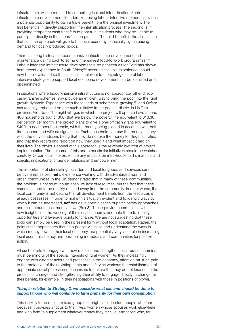infrastructure, will be required to support agricultural intensification. Such infrastructure development, if undertaken using labour-intensive methods, provides a potential opportunity to gain a triple benefit from the original investment. The first benefit is in directly supporting the intensification process. The second is in providing temporary cash transfers to poor rural residents who may be unable to participate directly in the intensification process. The third benefit is the stimulation that such an approach will give to the local economy, principally by increasing demand for locally produced goods.

There is a long history of labour-intensive infrastructure development and maintenance dating back to some of the earliest food-for-work programmes.<sup>119</sup> Labour-intensive infrastructure development is no panacea as McCord has shown from recent experience in South Africa;<sup>120</sup> nevertheless, this experience should now be re-evaluated so that all lessons relevant to the strategic use of labourintensive strategies to support local economic development can be identified and disseminated.

In situations where labour-intensive infrastructure is not appropriate, other directcash-transfer schemes may provide an efficient way to bring the poor into the rural growth dynamic. Experience with these kinds of schemes is growing,121 and Oxfam has recently embarked on one such initiative in the poorest district in Ha Tinh province, Viet Nam. The eight villages in which the project will operate have around 400 households (out of 800) that live below the poverty line equivalent to \$13.30 per person per month. The project plans to give a one-off cash grant, equivalent to \$400, to each poor household, with the money being placed in accounts with both the husband and wife as signatories. Each household can use the money as they wish; the only conditions being that they do not use the money for illegal activities and that they record and report on how they used it and what impact it had on their lives. The obvious appeal of this approach is the relatively low cost of project implementation. The outcome of this and other similar initiatives should be watched carefully. Of particular interest will be any impacts on intra-household dynamics, and specific implications for gender relations and empowerment.

The importance of stimulating local demand local for goods and services cannot be overemphasised. **nef**'s experience working with disadvantaged rural and urban communities in the UK demonstrates that in many of these communities, the problem is not so much an absolute lack of resources, but the fact that these resources tend to be quickly drained away from the community. In other words, the local community is not getting the full development benefit from the resources it already possesses. In order to make this situation evident and to identify ways by which it can be addressed. **nef** has developed a series of participatory approaches and tools around local money flows (Box 3). These provide communities with new insights into the working of their local economy, and help them to identify opportunities and leverage points for change. We are not suggesting that these tools can simply be used in their present form without local adaptation. Rather, the point is that approaches that help people visualise and understand the ways in which money flows in their local economy, are potentially very valuable in increasing local economic literacy and positioning individuals and communities for positive action.

All such efforts to engage with new markets and strengthen local rural economies must be mindful of the special interests of rural women. As they increasingly engage with different actors and processes in the economy, attention must be paid to the protection of their existing rights and safety as workers; the establishment of appropriate social protection mechanisms to ensure that they do not lose out in the process of change; and strengthening their ability to engage directly in change for their benefit, for example, in their negotiations with those in positions of power.

#### *Third, in relation to Strategy 3, we consider what can and should be done to support those who will continue to farm primarily for their own consumption.*

This is likely to be quite a mixed group that might include older people who farm because it provides a focus to their lives; women whose spouses work elsewhere and who farm to supplement whatever money they receive; and those who, for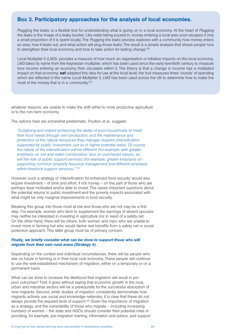### Box 3. Participatory approaches for the analysis of local economies.

Plugging the leaks: is a flexible tool for understanding what is going on in a local economy. At the heart of *Plugging the leaks* is the image of a leaky bucket. Like water being poured in, money entering a local area soon escapes if only a small proportion of it is spent locally. The *Plugging the leaks* process explores with a community how money enters an area, how it leaks out, and what action will plug those leaks. The result is a simple analysis that shows people how to strengthen their local economy and how to take action for lasting change.<sup>122</sup>

Local Multiplier 3 (LM3): provides a measure of how much an organisation or initiative impacts on the local economy. *LM3* takes its name from the Keynesian multiplier, which has been used since the early twentieth century to measure how income entering an economy then circulates within it. The theory is that a change in income has a multiplied impact on that economy. **nef** adapted this idea for use at the local level; the tool measures three 'rounds' of spending which are reflected in the name *Local Multiplier 3*. *LM3* has been used across the UK to determine how to make the most of the money that is in a community.<sup>123</sup>

whatever reasons, are unable to make the shift either to more productive agriculture or to the non-farm economy.

The options here are somewhat problematic. Poulton *et al.,* suggest:

*"Sustaining and indeed enhancing the ability of poor households to meet their food needs through own production, and the maintenance and protection of the natural resources they manage, requires intensification supported by public investment, just as in higher potential areas. Of course, the nature of the intensification will be different (for example, with greater emphasis on soil and water conservation, less on purchased inputs), as will the role of public support services (for example, greater emphasis on supporting common property resource management and different emphasis within livestock support services)."124*

However, such a strategy of 'intensification for enhanced food security' would also require investment – of time and effort, if not money – on the part of those who are perhaps least motivated and/or able to invest. This raises important questions about the potential returns to public investment and the poverty impacts associated with what might be only marginal improvements in food security.

Breaking this group into those most at risk and those who are not may be a first step. For example, women who farm to supplement the earnings of absent spouses may neither be interested in investing in agriculture nor in need of a safety net On the other hand, there will be others, both women and men, who are unable to invest more in farming but who would derive real benefits from a safety net or social protection approach. This latter group must be of primary concern.

#### *Finally, we briefly consider what can be done to support those who will migrate from their own rural areas (Strategy 4).*

Depending on the context and individual circumstances, there will be people who see no future in farming or in their local rural economy. These people will continue to use the well-established mechanism of migration, either on a temporary or on a permanent basis.

What can be done to increase the likelihood that migration will result in propoor outcomes? First, it goes without saying that economic growth in the rural, urban and industrial sectors will be a prerequisite for the successful absorption of new migrants. Second, while studies of migration consistently demonstrate how migrants actively use social and knowledge networks, it is clear that these do not always provide the required level of support.125 Given the importance of migration as a strategy, and the vulnerability of those who migrate – including increasing numbers of women – the state and NGOs should consider their potential roles in providing, for example, pre-migration training, information and advice, and support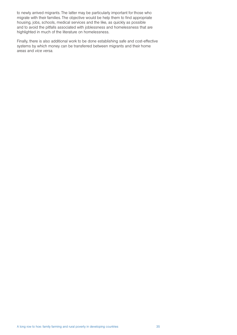to newly arrived migrants. The latter may be particularly important for those who migrate with their families. The objective would be help them to find appropriate housing, jobs, schools, medical services and the like, as quickly as possible and to avoid the pitfalls associated with joblessness and homelessness that are highlighted in much of the literature on homelessness.

Finally, there is also additional work to be done establishing safe and cost-effective systems by which money can be transferred between migrants and their home areas and *vice versa*.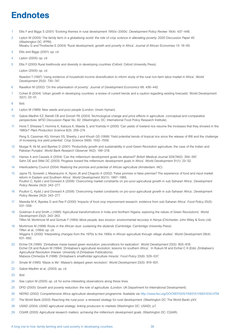## **Endnotes**

- 1 Ellis F and Biggs S (2001) 'Evolving themes in rural development 1950s–2000s'. *Development Policy Review* 19(4): 437–448.
- 2 Lipton M (2005) *The family farm in a globalising world: the role of crop science in alleviating poverty. 2020 Discussion Paper 40* (Washington DC: IFPRI).

Mwabu G and Thorbecke E (2004) 'Rural development, growth and poverty in Africa'. Journal of African Economies 13: 16–65.

- 3 Ellis and Biggs (2001) *op. cit.*
- 4 Lipton (2005) *op. cit.*
- 5 Ellis F (2000) Rural livelihoods and diversity in developing countries (Oxford: Oxford University Press).

Lipton (2005) *op. cit.*

Reardon T (1997) 'Using evidence of household income diversification to inform study of the rural non-farm labor market in Africa'. *World Development* 25(5): 735–747.

- 6 Ravallion M (2002) 'On the urbanisation of poverty'. *Journal of Development Economics* 68: 436–442.
- 7 Cohen B (2004) 'Urban growth in developing countries: a review of current trends and a caution regarding existing forecasts'. World Development 32(1): 23–51.

8 Ibid.

- 9 Lipton M (1989) *New seeds and poor people* (London: Unwin Hyman).
- 10 Gabre-Madhin EZ, Barrett CB and Dorosh PA (2003) *Technological change and price effects in agriculture: conceptual and comparative perspectives. MTID Discussion Paper No. 62*. (Washington, DC: International Food Policy Research Institute).
- 11 Horie T, Shiraiwa T, Homma K, Katsura K, Maeda S, and Yoshida H (2005) 'Can yields of lowland rice resume the increases that they showed in the 1980s?' *Plant Production Science* 8(3): 259–274.

Peng S, Cassman KG, Virmani SS, Sheehy J and Khush GS (1999) 'Yield potential trends of tropical rice since the release of IR8 and the challenge of increasing rice yield potential'. *Crop Science* 39(6): 1552–1559.

- 12 Murgai R, Ali M, and Byerlee D (2001) 'Productivity growth and sustainability in post-Green Revolution agriculture: the case of the Indian and Pakistan Punjabs'. *World Bank Research Observer* 16(2): 199–218.
- 13 Haines A and Cassels A (2004) 'Can the millennium development goals be attained?' *British Medical Journal* 329(7462): 394–397. Sahn DE and Stifel DC (2003) 'Progress toward the millennium development goals in Africa'. *World Development* 31(1): 23–52.
- 14 InterAcademy Council (2004) *Realizing the promise and potential of African agriculture* (Amsterdam: IAC).
- 15 Jayne TS, Govereh J, Mwanaumo A, Nyoro JK and Chapoto A (2002) 'False promise or false premise? The experience of food and input market reform in Eastern and Southern Africa'. *World Development* 30(11): 1967–1985. Poulton C, Kydd J and Dorward A (2006) 'Overcoming market constraints on pro-poor agricultural growth in sub-Saharan Africa'. *Development Policy Review* 24(3): 243–277.
- 16 Poulton C, Kydd J and Dorward A (2006) 'Overcoming market constraints on pro-poor agricultural growth in sub-Saharan Africa'. *Development Policy Review* 24(3): 243–277.
- 17 Maredia M K, Byerlee D and Pee P (2000) 'Impacts of food crop improvement research: evidence from sub-Saharan Africa'. *Food Policy* 25(5): 531–559.
- 18 Goldman A and Smith J (1995) 'Agricultural transformations in India and Northern Nigeria: exploring the nature of Green Revolutions'. *World Development* 23(2): 243–263. Tiffen M, Mortimore M and Gichuki F (1994) *More people, less erosion: environmental recovery in Kenya* (Chichester: John Wiley & Sons Ltd).
- 19 Mortimore M (1998) *Roots in the African dust: sustaining the drylands* (Cambridge: Cambridge University Press). Tiffen *et al.,* (1994) *op. cit.* Wiggins S (2000) 'Interpreting changes from the 1970s to the 1990s in African agriculture through village studies'. *World Development* 28(4): 631–662.
- 20 Eicher CK (1995) 'Zimbabwe maize-based green revolution: preconditions for replication'. *World Development* 23(5): 805–818. Eicher CK and Rukuni M (1994) 'Zimbabwe's agricultural revolution: lessons for southern Africa'. In Rukuni M and Eicher C K (Eds) *Zimbabwe's Agricultural Revolution* (Harare: University of Zimbabwe Publications). Mabeza-Chimedza R (1998) 'Zimbabwe's smallholder agriculture miracle'. *Food Policy* 23(6): 529–537.
- 21 Smale M (1995) 'Maize is life': Malawi's delayed green revolution'. *World Development* 23(5): 819–831.
- 22 Gabre-Madhin *et al.,* (2003) *op. cit.*

23 *Ibid.*

- 24 See Lipton M (2005) *op. cit*. for some interesting observations along these lines.
- 25 DFID (2005) *Growth and poverty reduction: the role of agriculture.* (London: UK Department for International Development).
- 26 NEPAD (2002) *Comprehensive Africa agriculture development programme.* Available via http://www.fao.org/DOCREP/005/Y6831E/Y6831E00.HTM
- 27 The World Bank (2003) *Reaching the rural poor: a renewed strategy for rural development.* (Washington DC: The World Bank) pXV.
- 28 USAID (2004) *USAID agricultural strategy: linking producers to markets* (Washington DC: USAID), p7.
- 29 CGIAR (2005) *Agricultural research matters: achieving the millennium development goals.* (Washington DC: CGIAR).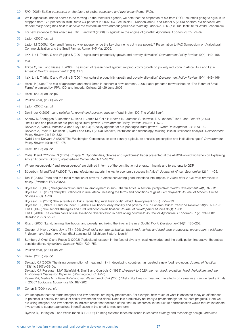- 30 FAO (2005) *Beijing consensus on the future of global agriculture and rural areas* (Rome: FAO).
- 31 While agriculture indeed seems to be moving up the rhetorical agenda, we note that the proportion of aid from OECD countries going to agriculture dropped from 12.1 per cent in 1991–92 to 4.4 per cent in 2002–04. See Thiele R, Nunnenkamp P and Dreher A (2006) *Sectoral aid priorities: are*  donors really doing their best to achieve the millennium development goals? Kiel Working Paper No. 126. (Kiel: Kiel Institute for World Economies).
- 32 For new evidence to this effect see Tiffin R and Irz X (2006) 'Is agriculture the engine of growth?' *Agricultural Economics* 35: 79–89.
- 33 Lipton (2005) *op. cit*.
- 34 Lipton M (2005a) 'Can small farms survive, prosper, or be the key channel to cut mass poverty?' Presentation to FAO Symposium on Agricultural Commercialisation and the Small Farmer, Rome, 4–5 May 2005.
- 35 Irz X, Lin L, Thirtle, C and Wiggins S (2001) 'Agricultural productivity growth and poverty alleviation'. *Development Policy Review* 19(4): 449–466. 36 *Ibid.*
- 37 Thirtle C, Lin L and Piesse J (2003) 'The impact of research-led agricultural productivity growth on poverty reduction in Africa, Asia and Latin America'. *World Development* 31(12): 1973.
- 38 Irz X, Lin L, Thirtle, C and Wiggins S (2001) 'Agricultural productivity growth and poverty alleviation'. *Development Policy Review* 19(4): 449–466.
- 39 Hazell P (2005) T'he role of agriculture and small farms in economic development'. 2005. Paper prepared for workshop on "The Future of Small Farms" organised by IFPRI, ODI and Imperial College, 26–29 June 2005.
- 40 Hazell (2005) *op. cit.* pX.
- 41 Poulton *et al.,* (2006) *op. cit.*
- 42 Lipton (2005) *op. cit.*
- 43 Deininger K (2003) *Land policies for growth and poverty reduction* (Washington, DC: The World Bank).
- 44 Andrew D, Shenggen F, Jonathan K, Hans L, Jamie M, Colin P, Neetha R, Laurence S, Hardwick T, Sukhadeo T, Ian U and Peter W (2004) 'Institutions and policies for pro-poor agricultural growth'. *Development Policy Review* 22(6): 611–622. Dorward A, Kydd J, Morrison J. and Urey I (2004) 'A policy agenda for pro-poor agricultural growth'. *World Development* 32(1): 73–89. Dorward A, Poole N, Morrison J, Kydd J and Urey I (2003) 'Markets, institutions and technology: missing links in livelihoods analysis'. *Development Policy Review* 21: 319–332. Kydd J and Dorward A (2001)''The Washington Consensus on poor country agriculture: analysis, prescription and institutional gaps'. *Development Policy Review* 19(4): 467–478.
- 45 Hazell (2005) *op. cit.*
- 46 Collier P and O'Connell S (2005) 'Chapter 2: Opportunities, choices and syndromes'. Paper presented at the AERC/Harvard workshop on Explaining African Economic Growth, Weatherhead Center, March 17–18 2005.
- 47 Where 'resource-rich' and 'resource-poor' are defined in terms of the contribution of energy, minerals and forest rents to GDP.
- 48 Söderbom M and Teal F (2003) 'Are manufacturing exports the key to economic success in Africa?' *Journal of African Economies* 12(1): 1–29.
- 49 Teal F (2005) 'Trade and the rapid reduction of poverty in Africa: converting good intentions into impact'. In *Africa after 2005: from promises to policy.* (Swindon: ESRC/DSA).
- 50 Bryceson D (1995) 'Deagrarianization and rural employment in sub-Saharan Africa: a sectoral perspective'. *World Development* 24(1): 97–111. Bryceson D F (2002) 'Muliplex livelihoods in rural Africa: recasting the terms and conditions of gainful employment'. *Journal of Modern African Studies* 40(1): 1–28.

Bryceson DF (2002) 'The scramble in Africa: reorienting rural livelihoods'. *World Development* 30(5): 725–739. Bryceson DF, Mbara TC and Maunder D (2003) 'Livelihoods, daily mobility and poverty in sub-Saharan Africa'. *Transport Reviews* 23(2): 177–196. Ellis F (1998) 'Household strategies and rural livelihood diversification'. *Journal of Development Studies* 35(1): 1–38. Ellis F (2000) 'The determinants of rural livelihood diversification in developing countries'. *Journal of Agricultural Economics* 51(2): 289–302 Reardon (1997) *op. cit.*

- 51 Rigg J (2006) 'Land, farming, livelihoods, and poverty: rethinking the links in the rural South'. *World Development* 34(1): 180–202.
- 52 Govereh J, Nyoro JK and Jayne TS (1999) *Smallholder commercialisation, interlinked markets and food crop productivity: cross-country evidence in Eastern and Southern Africa.* (East Lansing, MI: Michigan State University).
- 53 Sumberg J, Okali C and Reece D (2003) 'Agricultural research in the face of diversity, local knowledge and the participation imperative: theoretical considerations'. *Agricultural Systems* 76(2): 739–753.
- 54 Poulton *et al.,* (2006) *op. cit.*
- 55 Hazell (2005) *op. cit.*
- 56 Delgado CJ (2003) 'The rising consumption of meat and milk in developing countries has created a new food revolution'. *Journal of Nutrition*  133(11): 3907s–3910s.

Delgado CJ, Rosegrant MW, Steinfeld H, Ehui S and Courbois C (1999) *Livestock to 2020: the next food revolution. Food, Agriculture, and the Environment Discussion Paper 28.* (Washington, DC: IFPRI).

Keyzer MA, Merbis M D, Pavel IFPW and van Wesenbeeck CFA (2005) 'Diet shifts towards meat and the effects on cereal use: can we feed animals in 2030? *Ecological Economics* 55: 187–202.

- 57 Cohen B (2004) *op. cit.*
- 58 We recognise that the terms marginal and low potential are highly problematic. For example, how much of what is observed today as differences in potential is actually the result of earlier investment decisions? Does low productivity not imply a greater margin for low-cost progress? Here we are using marginal and low potential to indicate areas that because of their natural resources, infrastructure and/or location would require inordinate investment to support agricultural intensification in the short to medium term.

Byerlee D, Harrington L and Winkelmann D L (1982) Farming systems research: issues in research strategy and technology design'. *American*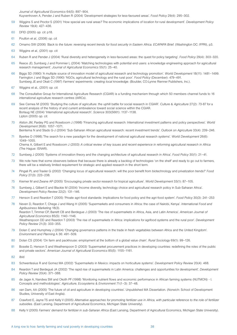*Journal of Agricultural Economics* 64(5): 897–904. Kuyvenhoven A, Pender J and Ruben R (2004) 'Development strategies for less-favoured areas'. *Food Policy* 29(4): 295–302.

- 59 Wiggins S and Proctor S (2001) 'How special are rural areas? The economic implications of location for rural development'. *Development Policy Review* 19(4): 427–436.
- 60 DFID (2005) *op. cit.* p18.
- 61 Poulton *et al.,* (2006) *op. cit.*
- 62 Omamo SW (2006) *'Back to the future: reversing recent trends for food security in Eastern Africa. ECAPAPA Brief.* (Washington DC: IFPRI), p3.
- 63 Wiggins *et al.,* (2001) *op. cit.*
- 64 Ruben R and Pender J (2004) 'Rural diversity and heterogeneity in less-favoured areas: the quest for policy targeting'. *Food Policy* 29(4): 303–320.
- 65 Reece JD, Sumberg J and Pommier L (2004) 'Matching technologies with potential end users: a knowledge engineering approach for agricultural research management'. *Journal of Agricultural Economics* 55(1): 25–40.
- 66 Biggs SD (1990) 'A multiple source of innovation model of agricultural research and technology promotion'. *World Development* 18(11): 1481–1499. Farrington J and Biggs SD (1990) 'NGOs, agricultural technology and the rural poor'. *Food Policy* (December): 479–491. Sumberg JE and Okali C (1997) *Farmers' experiments: creating local knowledge.* (Boulder, CO:Lynne Rienner Publishers, Inc.).
- 67 Wiggins et al., (2001) *op. cit.*
- 68 The Consultative Group for International Agriculture Research (CGIAR) is a funding mechanism through which 50 members channel funds to 16 international agriculture research centres (IARCs).
- 69 See Cernea M (2005) 'Studying the culture of agriculture: the uphill battle for social research in CGIAR'. *Culture & Agriculture* 27(2): 73-87 for a recent analysis of the history of and current ambivalence toward social science within the CGIAR. Borlaug NE (2004) 'International agricultural research'. *Science* 303(5661): 1137–1138. Lipton (2005) *op. cit*.
- 70 Alston JM, Pardey PG and Roseboom J (1998) 'Financing agricultural research: International investment patterns and policy perspectives'. *World Development* 26(6): 1057–1071.

Beintema N and Stads G-J (2004) 'Sub-Saharan African agricultural research: recent investment trends'. *Outlook on Agriculture* 33(4): 239–246.

71 Byerlee D (1998).'The search for a new paradigm for the development of national agricultural research systems'. *World Development* 26(6): 1049–1055.

Chema A, Gilbert E and Roseboom J (2003) *A critical review of key issues and recent experience in reforming agricultural research in Africa* (The Hague: ISNAR).

- 72 Sumberg J (2005) 'Systems of innovation theory and the changing architecture of agricultural research in Africa'. *Food Policy* 30(1): 21–41.
- 73 We note here that some observers believe that because there is already a backlog of technologies 'on the shelf' and ready to go out to farmers, there will be a relatively limited requirement for strategic and applied research in the short term.
- 74 Pingali PL and Traxler G (2002) 'Changing locus of agricultural research: will the poor benefit from biotechnology and privatization trends?' *Food Policy* 27(3): 223–238.
- 75 Kremer M and Zwane AP (2005) 'Encouraging private sector research for tropical agriculture'. *World Development* 33(1): 87–105.
- 76 Sumberg J, Gilbert E and Blackie M (2004) 'Income diversity, technology choice and agricultural research policy in Sub-Saharan Africa'. *Development Policy Review* 22(2): 131–146.
- 77 Henson S and Reardon T (2005) 'Private agri-food standards: Implications for food policy and the agri-food system'. *Food Policy* 30(3): 241–253
- 78 Neven D, Reardon T, Chege J and Wang H (2005) 'Supermarkets and consumers in Africa: the case of Nairobi, Kenya'. *International Food and Agribusiness Marketing* 18(3). Reardon T, Timmer CP, Barrett CB and Berdegue J (2003) 'The rise of supermarkets in Africa, Asia, and Latin America'. *American Journal of Agricultural Economics* 85(5): 1140–1146. Weatherspoon DD and Reardon T (2003) 'The rise of supermarkets in Africa: implications for agrifood systems and the rural poor'. *Development Policy Review* 21(3): 333–355.
- 79 Dolan C and Humphrey J (2004) 'Changing governance patterns in the trade in fresh vegetables between Africa and the United Kingdom'. *Environment and Planning* A 36: 491–509.
- 80 Dolan CS (2004) 'On farm and packhouse: employment at the bottom of a global value chain'. *Rural Sociology* 69(1): 99–126.
- 81 Boselie D, Henson S and Weatherspoon D (2003) 'Supermarket procurement practices in developing countries: redefining the roles of the public and private sectors'. *American Journal of Agricultural Economics* 85(5): 1155–1161.
- 82 *Ibid.*
- 83 Schwentesius R and Gomez MA (2002) 'Supermarkets in Mexico: impacts on horticulture systems'. *Development Policy Review* 20(4): 468.
- 84 Reardon T and Berdegué JA (2002) 'The rapid rise of supermarkets in Latin America: challenges and opportunities for development'. *Development Policy Review* 20(4): 371–388.
- 85 de Jager A, Nandwa SM and Okoth PF (1998) 'Monitoring nutrient flows and economic performance in African farming systems (NUTMON) I. Concepts and methodologies'. *Agriculture, Ecosystems & Environment* 71(1–3): 37–48.
- 86 van Dam, AA (2005) 'The future of oil and agriculture in developing countries'. Unpublished MA Dissertation. (Norwich: School of Development Studies, University of East Anglia).
- 87 Crawford E, Jayne TS and Kelly V (2005) *Alternative approaches for promoting fertilizer use in Africa, with particular reference to the role of fertilizer subsidies.* (East Lansing, Department of Agricultural Economics, Michigan State University).
- 88 Kelly V (2005) *Farmers' demand for fertilizer in sub-Saharan Africa* (East Lansing, Department of Agricultural Economics, Michigan State University).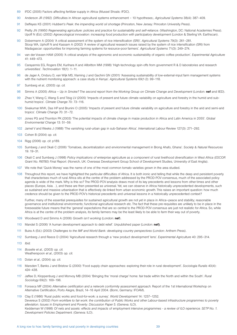- 89 IFDC (2005) Factors affecting fertilizer supply in Africa (Mussel Shoals: IFDC).
- 90 Anderson JR (1992) ;Difficulties in African agricultural systems enhancement 10 hypotheses;. *Agricultural Systems* 38(4): 387–409.
- 91 Deffeyes KS (2001) *Hubbert's Peak: the impending world oil shortage* (Princeton, New Jersey: Princeton University Press).
- 92 Pretty JN (19950 *Regenerating agriculture: policies and practice for sustainability and self-reliance.* (Washington, DC: National Academies Press). Upoff N (Ed.) (2002) Agroecological innovation: increasing food production with participatory development (London & Sterling VA: Earthscan).
- 93 Dobermann A (2004) 'A critical assessment of the system of rice intensification (SRI)'. *Agricultural Systems* 79(3): 261–281. Stoop WA, Uphoff N and Kassam A (2002) 'A review of agricultural research issues raised by the system of rice intensification (SRI) from Madagascar: opportunities for improving farming systems for resource-poor farmers'. *Agricultural Systems* 71(3): 249–274.
- 94 van der Vossen HAM (2005) 'A critical analysis of the agronomic and economic sustainability of organic coffee production'. *Experimental Agriculture* 41: 449–473.
- 95 Carayannis EG, Rogers EM, Kurihara K and Allbritton MM (1998) 'High-technology spin-offs from government R & D laboratories and research universities'. *Technovation* 18(1): 1–11.
- 96 de Jager A, Onduru D, van Wijk MS, Vlaming J and Gachini GN (2001) 'Assessing sustainability of low-external-input farm management systems with the nutrient monitoring approach: a case study in Kenya'. *Agricultural Systems* 69(1-2): 99–118.
- 97 Sumberg *et al.,* (2003) *op. cit.*
- 98 Simms A (2005) *Africa Up in Smoke? The second report from the Working Group on Climate Change and Development* (London: nef and IIED).
- 99 Zhao Y, Wang C, Wang S and Tibig LV (2005) 'Impacts of present and future climate variability on agriculture and forestry in the humid and subhumid tropics'. *Climate Change* 70: 73–116.
- 100 Sivakumar MVK, Das HP and Brunini O (2005) 'Impacts of present and future climate variability on agriculture and forestry in the arid and semi-arid tropics'. *Climate Change* 70: 31–72.
- 101 Jones PG and Thornton PK (2003) 'The potential impacts of climate change in maize production in Africa and Latin America in 2055'. *Global Environmental Change* 13: 51–59.
- 102 Jamel V and Weeks J (1988) 'The vanishing rural-urban gap in sub-Saharan Africa'. *International Labour Review* 127(3): 271–292.
- 103 Cohen B (2004) *op. cit.*
- 104 Rigg (2006) *op. cit.* p189.
- 105 Sumberg J and Okali C (2006) 'Tomatoes, decentralization and environmental management in Brong Ahafo, Ghana'. *Society & Natural Resources* 19: 19–31.
- 106 Okali C and Sumberg J (1998) *Policy implications of enterprise agriculture as a component of rural livelihood diversification in West Africa (ESCOR Grant No. R6780) Final Report.* (Norwich, UK: Overseas Development Group School of Development Studies, University of East Anglia).
- 107 We note that 'Quick Money' was the name of one of the most common tomato varieties grown in the area studied.
- 108 Throughout this report, we have highlighted the particular difficulties of Africa. It is both ironic and telling that while the deep and persistent poverty that characterises much of rural Africa sits at the centre of the problem addressed by the PROD-POV consensus, much of the associated policy agenda is wide of the mark. Why is this so? The PROD-POV analysis draws most of its key precedents and lessons from other times and other places (Europe, Asia…), and these are then presented as universal. Yet, we can observe in Africa historically unprecedented developments, such as sustained and massive urbanisation that is effectively de-linked from urban economic growth. This raises an important question: how much credence should be given to the PROD-POV's historical precedents and universal lessons in a historically unprecedented context?

Further, many of the essential prerequisites for sustained agricultural growth are not yet in place in Africa—peace and stability; reasonable governance and institutional environments; functional agricultural research etc. The fact that these pre-requisites are unlikely to be in place in the foreseeable future means that the 'general' expectations that are so central to the PROD-POV consensus are just not realistic for Africa. So, while Africa is at the centre of the problem analysis, its family farmers may be the least likely to be able to farm their way out of poverty.

- 109 Woodward D and Simms A (2006) *Growth isn't working* (London: nef).
- 110 Mandel S (2006) 'A human development approach to debt relief'. Unpublished paper (London: nef).
- 111 Buira A (Ed.) (2003) *Challenges to the IMF and World Bank: developing country perspectives* (London: Anthem Press).
- 112 Sumberg J and Reece D (2004) 'Agricultural research through a 'new product development' lens'. *Experimental Agriculture* 40: 295–314.
- 113 *Ibid.*
- 114 *Boselie et al.,* (2003) *op. cit.* Weatherspoon *et al.,* (2003) *op. cit.*
- 115 Dolan *et al.,* (2004) *op. cit.*
- 116 Marsden T, Banks J and Bristow G (2000) 'Food supply chain approaches: exploring their role in rural development'. *Sociologia Ruralis* 40(4): 424–438.
- 117 Jaffee D, Kloppenburg J and Monvoy MB (2004) 'Bringing the 'moral charge' home: fair trade within the North and within the South'. *Rural Sociology* 69(2): 169–196.
- 118 Fonseca MF (2004) *Alternative certification and a network conformity assessment approach.* Report of the 1st International Workshop on Alternative Certification, Porto Alegre, Brazil, 14–16 April 2004. (Bonn, Germany: IFOAM).
- 119 Clay E (1986) 'Rural public works and food-for-work: a survey'. *World Development* 14: 1237–1252. Devereux S (2002) *From workfare to fair work: the contribution of Public Works and other Labour-based infrastructure programmes to poverty alleviation. Issues in Employment and Poverty: Discussion Paper 5.* (Geneva: ILO). Keddeman W (1998) *Of nets and assets: effects and impacts of employment intensive programmes - a review of ILO rxperience. SETP No. 1. Development Policies Department.* (Geneva: ILO).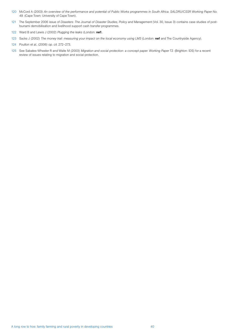- 120 McCord A (2003) *An overview of the performance and potential of Public Works programmes in South Africa. SALDRU/CSSR Working Paper No. 49.* (Cape Town: University of Cape Town).
- 121 The September 2006 issue of *Disasters: The Journal of Disaster Studies, Policy and Management (Vol. 30, Issue 3) contains case studies of post*tsunami demobilisation and livelihood support cash transfer programmes.
- 122 Ward B and Lewis J (2002) *Plugging the leaks* (London: nef).
- 123 Sacks J (2002) *The money trail: measuring your impact on the local economy using LM3* (London: nef and The Countryside Agency).
- 124 Poulton *et al.,* (2006) *op. cit.* 272–273.
- 125 See Sabates-Wheeler R and Waite M (2003) *Migration and social protection: a concept paper. Working Paper T2.* (Brighton: IDS) for a recent review of issues relating to migration and social protection.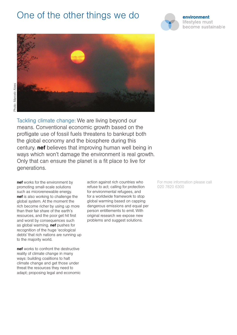# One of the other things we do





Tackling climate change: We are living beyond our means. Conventional economic growth based on the profligate use of fossil fuels threatens to bankrupt both the global economy and the biosphere during this century. nef believes that improving human well being in ways which won't damage the environment is real growth. Only that can ensure the planet is a fit place to live for generations.

nef works for the environment by promoting small-scale solutions such as microrenewable energy. nef is also working to challenge the global system. At the moment the rich become richer by using up more than their fair share of the earth's resources, and the poor get hit first and worst by consequences such as global warming. **nef** pushes for recognition of the huge 'ecological debts' that rich nations are running up to the majority world.

nef works to confront the destructive reality of climate change in many ways: building coalitions to halt climate change and get those under threat the resources they need to adapt; proposing legal and economic action against rich countries who refuse to act; calling for protection for environmental refugees, and for a worldwide framework to stop global warming based on capping dangerous emissions and equal per person entitlements to emit. With original research we expose new problems and suggest solutions.

For more information please call 020 7820 6300